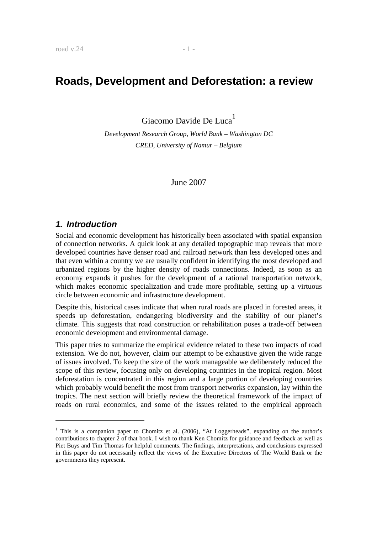# **Roads, Development and Deforestation: a review**

Giacomo Davide De Luca

*Development Research Group, World Bank – Washington DC CRED, University of Namur – Belgium* 

June 2007

### **1. Introduction**

-

Social and economic development has historically been associated with spatial expansion of connection networks. A quick look at any detailed topographic map reveals that more developed countries have denser road and railroad network than less developed ones and that even within a country we are usually confident in identifying the most developed and urbanized regions by the higher density of roads connections. Indeed, as soon as an economy expands it pushes for the development of a rational transportation network, which makes economic specialization and trade more profitable, setting up a virtuous circle between economic and infrastructure development.

Despite this, historical cases indicate that when rural roads are placed in forested areas, it speeds up deforestation, endangering biodiversity and the stability of our planet's climate. This suggests that road construction or rehabilitation poses a trade-off between economic development and environmental damage.

This paper tries to summarize the empirical evidence related to these two impacts of road extension. We do not, however, claim our attempt to be exhaustive given the wide range of issues involved. To keep the size of the work manageable we deliberately reduced the scope of this review, focusing only on developing countries in the tropical region. Most deforestation is concentrated in this region and a large portion of developing countries which probably would benefit the most from transport networks expansion, lay within the tropics. The next section will briefly review the theoretical framework of the impact of roads on rural economics, and some of the issues related to the empirical approach

<sup>&</sup>lt;sup>1</sup> This is a companion paper to Chomitz et al. (2006), "At Loggerheads", expanding on the author's contributions to chapter 2 of that book. I wish to thank Ken Chomitz for guidance and feedback as well as Piet Buys and Tim Thomas for helpful comments. The findings, interpretations, and conclusions expressed in this paper do not necessarily reflect the views of the Executive Directors of The World Bank or the governments they represent.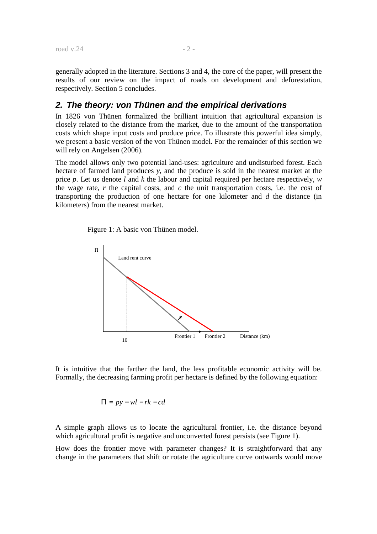generally adopted in the literature. Sections 3 and 4, the core of the paper, will present the results of our review on the impact of roads on development and deforestation, respectively. Section 5 concludes.

### **2. The theory: von Thünen and the empirical derivations**

In 1826 von Thünen formalized the brilliant intuition that agricultural expansion is closely related to the distance from the market, due to the amount of the transportation costs which shape input costs and produce price. To illustrate this powerful idea simply, we present a basic version of the von Thünen model. For the remainder of this section we will rely on Angelsen (2006).

The model allows only two potential land-uses: agriculture and undisturbed forest. Each hectare of farmed land produces *y*, and the produce is sold in the nearest market at the price *p*. Let us denote *l* and *k* the labour and capital required per hectare respectively, *w* the wage rate, *r* the capital costs, and *c* the unit transportation costs, i.e. the cost of transporting the production of one hectare for one kilometer and *d* the distance (in kilometers) from the nearest market.

Figure 1: A basic von Thünen model.



It is intuitive that the farther the land, the less profitable economic activity will be. Formally, the decreasing farming profit per hectare is defined by the following equation:

$$
\Pi = py - w\mathbf{l} - \mathbf{r}\mathbf{k} - \mathbf{c}\mathbf{d}
$$

A simple graph allows us to locate the agricultural frontier, i.e. the distance beyond which agricultural profit is negative and unconverted forest persists (see Figure 1).

How does the frontier move with parameter changes? It is straightforward that any change in the parameters that shift or rotate the agriculture curve outwards would move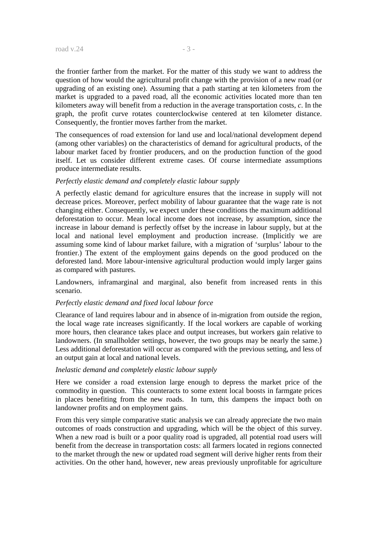the frontier farther from the market. For the matter of this study we want to address the question of how would the agricultural profit change with the provision of a new road (or upgrading of an existing one). Assuming that a path starting at ten kilometers from the market is upgraded to a paved road, all the economic activities located more than ten kilometers away will benefit from a reduction in the average transportation costs, *c*. In the graph, the profit curve rotates counterclockwise centered at ten kilometer distance. Consequently, the frontier moves farther from the market.

The consequences of road extension for land use and local/national development depend (among other variables) on the characteristics of demand for agricultural products, of the labour market faced by frontier producers, and on the production function of the good itself. Let us consider different extreme cases. Of course intermediate assumptions produce intermediate results.

#### *Perfectly elastic demand and completely elastic labour supply*

A perfectly elastic demand for agriculture ensures that the increase in supply will not decrease prices. Moreover, perfect mobility of labour guarantee that the wage rate is not changing either. Consequently, we expect under these conditions the maximum additional deforestation to occur. Mean local income does not increase, by assumption, since the increase in labour demand is perfectly offset by the increase in labour supply, but at the local and national level employment and production increase. (Implicitly we are assuming some kind of labour market failure, with a migration of 'surplus' labour to the frontier.) The extent of the employment gains depends on the good produced on the deforested land. More labour-intensive agricultural production would imply larger gains as compared with pastures.

Landowners, inframarginal and marginal, also benefit from increased rents in this scenario.

#### *Perfectly elastic demand and fixed local labour force*

Clearance of land requires labour and in absence of in-migration from outside the region, the local wage rate increases significantly. If the local workers are capable of working more hours, then clearance takes place and output increases, but workers gain relative to landowners. (In smallholder settings, however, the two groups may be nearly the same.) Less additional deforestation will occur as compared with the previous setting, and less of an output gain at local and national levels.

#### *Inelastic demand and completely elastic labour supply*

Here we consider a road extension large enough to depress the market price of the commodity in question. This counteracts to some extent local boosts in farmgate prices in places benefiting from the new roads. In turn, this dampens the impact both on landowner profits and on employment gains.

From this very simple comparative static analysis we can already appreciate the two main outcomes of roads construction and upgrading, which will be the object of this survey. When a new road is built or a poor quality road is upgraded, all potential road users will benefit from the decrease in transportation costs: all farmers located in regions connected to the market through the new or updated road segment will derive higher rents from their activities. On the other hand, however, new areas previously unprofitable for agriculture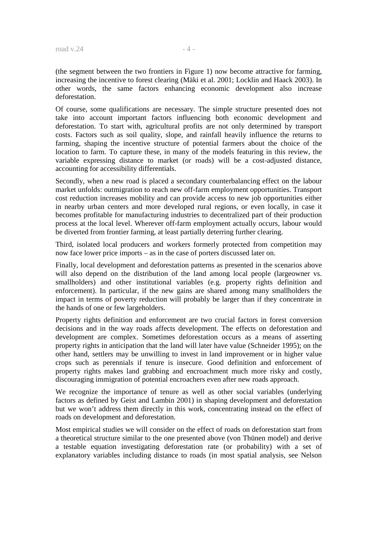(the segment between the two frontiers in Figure 1) now become attractive for farming, increasing the incentive to forest clearing (Mäki et al. 2001; Locklin and Haack 2003). In other words, the same factors enhancing economic development also increase deforestation.

Of course, some qualifications are necessary. The simple structure presented does not take into account important factors influencing both economic development and deforestation. To start with, agricultural profits are not only determined by transport costs. Factors such as soil quality, slope, and rainfall heavily influence the returns to farming, shaping the incentive structure of potential farmers about the choice of the location to farm. To capture these, in many of the models featuring in this review, the variable expressing distance to market (or roads) will be a cost-adjusted distance, accounting for accessibility differentials.

Secondly, when a new road is placed a secondary counterbalancing effect on the labour market unfolds: outmigration to reach new off-farm employment opportunities. Transport cost reduction increases mobility and can provide access to new job opportunities either in nearby urban centers and more developed rural regions, or even locally, in case it becomes profitable for manufacturing industries to decentralized part of their production process at the local level. Wherever off-farm employment actually occurs, labour would be diverted from frontier farming, at least partially deterring further clearing.

Third, isolated local producers and workers formerly protected from competition may now face lower price imports – as in the case of porters discussed later on.

Finally, local development and deforestation patterns as presented in the scenarios above will also depend on the distribution of the land among local people (largeowner vs. smallholders) and other institutional variables (e.g. property rights definition and enforcement). In particular, if the new gains are shared among many smallholders the impact in terms of poverty reduction will probably be larger than if they concentrate in the hands of one or few largeholders.

Property rights definition and enforcement are two crucial factors in forest conversion decisions and in the way roads affects development. The effects on deforestation and development are complex. Sometimes deforestation occurs as a means of asserting property rights in anticipation that the land will later have value (Schneider 1995); on the other hand, settlers may be unwilling to invest in land improvement or in higher value crops such as perennials if tenure is insecure. Good definition and enforcement of property rights makes land grabbing and encroachment much more risky and costly, discouraging immigration of potential encroachers even after new roads approach.

We recognize the importance of tenure as well as other social variables (underlying factors as defined by Geist and Lambin 2001) in shaping development and deforestation but we won't address them directly in this work, concentrating instead on the effect of roads on development and deforestation.

Most empirical studies we will consider on the effect of roads on deforestation start from a theoretical structure similar to the one presented above (von Thünen model) and derive a testable equation investigating deforestation rate (or probability) with a set of explanatory variables including distance to roads (in most spatial analysis, see Nelson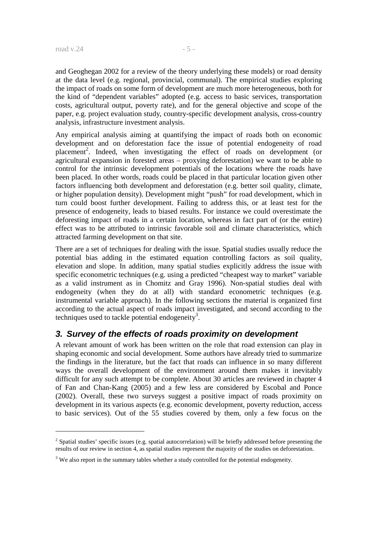and Geoghegan 2002 for a review of the theory underlying these models) or road density at the data level (e.g. regional, provincial, communal). The empirical studies exploring the impact of roads on some form of development are much more heterogeneous, both for the kind of "dependent variables" adopted (e.g. access to basic services, transportation costs, agricultural output, poverty rate), and for the general objective and scope of the paper, e.g. project evaluation study, country-specific development analysis, cross-country analysis, infrastructure investment analysis.

Any empirical analysis aiming at quantifying the impact of roads both on economic development and on deforestation face the issue of potential endogeneity of road placement<sup>2</sup>. Indeed, when investigating the effect of roads on development (or agricultural expansion in forested areas – proxying deforestation) we want to be able to control for the intrinsic development potentials of the locations where the roads have been placed. In other words, roads could be placed in that particular location given other factors influencing both development and deforestation (e.g. better soil quality, climate, or higher population density). Development might "push" for road development, which in turn could boost further development. Failing to address this, or at least test for the presence of endogeneity, leads to biased results. For instance we could overestimate the deforesting impact of roads in a certain location, whereas in fact part of (or the entire) effect was to be attributed to intrinsic favorable soil and climate characteristics, which attracted farming development on that site.

There are a set of techniques for dealing with the issue. Spatial studies usually reduce the potential bias adding in the estimated equation controlling factors as soil quality, elevation and slope. In addition, many spatial studies explicitly address the issue with specific econometric techniques (e.g. using a predicted "cheapest way to market" variable as a valid instrument as in Chomitz and Gray 1996). Non-spatial studies deal with endogeneity (when they do at all) with standard econometric techniques (e.g. instrumental variable approach). In the following sections the material is organized first according to the actual aspect of roads impact investigated, and second according to the techniques used to tackle potential endogeneity<sup>3</sup>.

## **3. Survey of the effects of roads proximity on development**

A relevant amount of work has been written on the role that road extension can play in shaping economic and social development. Some authors have already tried to summarize the findings in the literature, but the fact that roads can influence in so many different ways the overall development of the environment around them makes it inevitably difficult for any such attempt to be complete. About 30 articles are reviewed in chapter 4 of Fan and Chan-Kang (2005) and a few less are considered by Escobal and Ponce (2002). Overall, these two surveys suggest a positive impact of roads proximity on development in its various aspects (e.g. economic development, poverty reduction, access to basic services). Out of the 55 studies covered by them, only a few focus on the

 $2^2$  Spatial studies' specific issues (e.g. spatial autocorrelation) will be briefly addressed before presenting the results of our review in section 4, as spatial studies represent the majority of the studies on deforestation.

 $3$  We also report in the summary tables whether a study controlled for the potential endogeneity.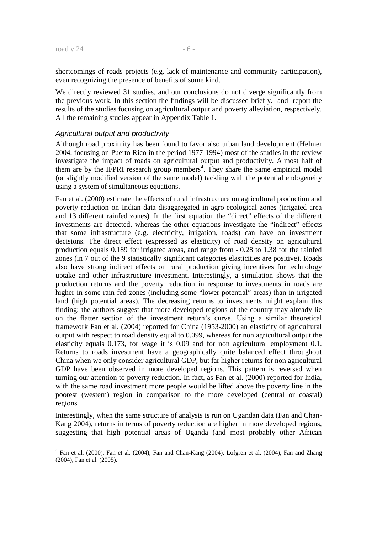shortcomings of roads projects (e.g. lack of maintenance and community participation), even recognizing the presence of benefits of some kind.

We directly reviewed 31 studies, and our conclusions do not diverge significantly from the previous work. In this section the findings will be discussed briefly. and report the results of the studies focusing on agricultural output and poverty alleviation, respectively. All the remaining studies appear in Appendix Table 1.

#### Agricultural output and productivity

Although road proximity has been found to favor also urban land development (Helmer 2004, focusing on Puerto Rico in the period 1977-1994) most of the studies in the review investigate the impact of roads on agricultural output and productivity. Almost half of them are by the IFPRI research group members<sup>4</sup>. They share the same empirical model (or slightly modified version of the same model) tackling with the potential endogeneity using a system of simultaneous equations.

Fan et al. (2000) estimate the effects of rural infrastructure on agricultural production and poverty reduction on Indian data disaggregated in agro-ecological zones (irrigated area and 13 different rainfed zones). In the first equation the "direct" effects of the different investments are detected, whereas the other equations investigate the "indirect" effects that some infrastructure (e.g. electricity, irrigation, roads) can have on investment decisions. The direct effect (expressed as elasticity) of road density on agricultural production equals 0.189 for irrigated areas, and range from - 0.28 to 1.38 for the rainfed zones (in 7 out of the 9 statistically significant categories elasticities are positive). Roads also have strong indirect effects on rural production giving incentives for technology uptake and other infrastructure investment. Interestingly, a simulation shows that the production returns and the poverty reduction in response to investments in roads are higher in some rain fed zones (including some "lower potential" areas) than in irrigated land (high potential areas). The decreasing returns to investments might explain this finding: the authors suggest that more developed regions of the country may already lie on the flatter section of the investment return's curve. Using a similar theoretical framework Fan et al. (2004) reported for China (1953-2000) an elasticity of agricultural output with respect to road density equal to 0.099, whereas for non agricultural output the elasticity equals 0.173, for wage it is 0.09 and for non agricultural employment 0.1. Returns to roads investment have a geographically quite balanced effect throughout China when we only consider agricultural GDP, but far higher returns for non agricultural GDP have been observed in more developed regions. This pattern is reversed when turning our attention to poverty reduction. In fact, as Fan et al. (2000) reported for India, with the same road investment more people would be lifted above the poverty line in the poorest (western) region in comparison to the more developed (central or coastal) regions.

Interestingly, when the same structure of analysis is run on Ugandan data (Fan and Chan-Kang 2004), returns in terms of poverty reduction are higher in more developed regions, suggesting that high potential areas of Uganda (and most probably other African

<sup>4</sup> Fan et al. (2000), Fan et al. (2004), Fan and Chan-Kang (2004), Lofgren et al. (2004), Fan and Zhang (2004), Fan et al. (2005).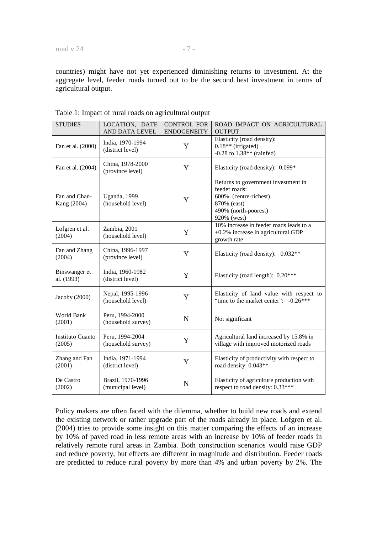countries) might have not yet experienced diminishing returns to investment. At the aggregate level, feeder roads turned out to be the second best investment in terms of agricultural output.

| <b>STUDIES</b>                    | LOCATION, DATE<br>AND DATA LEVEL       | <b>CONTROL FOR</b><br><b>ENDOGENEITY</b> | ROAD IMPACT ON AGRICULTURAL<br><b>OUTPUT</b>                                                                                        |
|-----------------------------------|----------------------------------------|------------------------------------------|-------------------------------------------------------------------------------------------------------------------------------------|
| Fan et al. (2000)                 | India, 1970-1994<br>(district level)   | Y                                        | Elasticity (road density):<br>$0.18**$ (irrigated)<br>$-0.28$ to $1.38**$ (rainfed)                                                 |
| Fan et al. (2004)                 | China, 1978-2000<br>(province level)   | Y                                        | Elasticity (road density): 0.099*                                                                                                   |
| Fan and Chan-<br>Kang (2004)      | Uganda, 1999<br>(household level)      | Y                                        | Returns to government investment in<br>feeder roads:<br>600% (centre-richest)<br>870% (east)<br>490% (north-poorest)<br>920% (west) |
| Lofgren et al.<br>(2004)          | Zambia, 2001<br>(household level)      | Y                                        | 10% increase in feeder roads leads to a<br>+0.2% increase in agricultural GDP<br>growth rate                                        |
| Fan and Zhang<br>(2004)           | China, 1996-1997<br>(province level)   | Y                                        | Elasticity (road density): 0.032**                                                                                                  |
| Binswanger et<br>al. (1993)       | India, 1960-1982<br>(district level)   | Y                                        | Elasticity (road length): 0.20***                                                                                                   |
| Jacoby (2000)                     | Nepal, 1995-1996<br>(household level)  | Y                                        | Elasticity of land value with respect to<br>"time to the market center": $-0.26***$                                                 |
| World Bank<br>(2001)              | Peru, 1994-2000<br>(household survey)  | N                                        | Not significant                                                                                                                     |
| <b>Instituto Cuanto</b><br>(2005) | Peru, 1994-2004<br>(household survey)  | Y                                        | Agricultural land increased by 15.8% in<br>village with improved motorized roads                                                    |
| Zhang and Fan<br>(2001)           | India, 1971-1994<br>(district level)   | Y                                        | Elasticity of productivity with respect to<br>road density: 0.043**                                                                 |
| De Castro<br>(2002)               | Brazil, 1970-1996<br>(municipal level) | N                                        | Elasticity of agriculture production with<br>respect to road density: 0.33***                                                       |

Table 1: Impact of rural roads on agricultural output

Policy makers are often faced with the dilemma, whether to build new roads and extend the existing network or rather upgrade part of the roads already in place. Lofgren et al. (2004) tries to provide some insight on this matter comparing the effects of an increase by 10% of paved road in less remote areas with an increase by 10% of feeder roads in relatively remote rural areas in Zambia. Both construction scenarios would raise GDP and reduce poverty, but effects are different in magnitude and distribution. Feeder roads are predicted to reduce rural poverty by more than 4% and urban poverty by 2%. The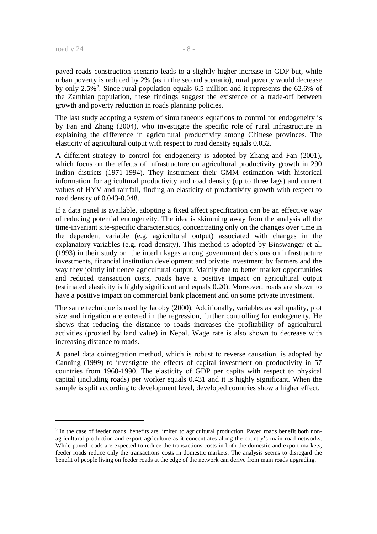paved roads construction scenario leads to a slightly higher increase in GDP but, while urban poverty is reduced by 2% (as in the second scenario), rural poverty would decrease by only 2.5%<sup>5</sup>. Since rural population equals 6.5 million and it represents the 62.6% of the Zambian population, these findings suggest the existence of a trade-off between growth and poverty reduction in roads planning policies.

The last study adopting a system of simultaneous equations to control for endogeneity is by Fan and Zhang (2004), who investigate the specific role of rural infrastructure in explaining the difference in agricultural productivity among Chinese provinces. The elasticity of agricultural output with respect to road density equals 0.032.

A different strategy to control for endogeneity is adopted by Zhang and Fan (2001), which focus on the effects of infrastructure on agricultural productivity growth in 290 Indian districts (1971-1994). They instrument their GMM estimation with historical information for agricultural productivity and road density (up to three lags) and current values of HYV and rainfall, finding an elasticity of productivity growth with respect to road density of 0.043-0.048.

If a data panel is available, adopting a fixed affect specification can be an effective way of reducing potential endogeneity. The idea is skimming away from the analysis all the time-invariant site-specific characteristics, concentrating only on the changes over time in the dependent variable (e.g. agricultural output) associated with changes in the explanatory variables (e.g. road density). This method is adopted by Binswanger et al. (1993) in their study on the interlinkages among government decisions on infrastructure investments, financial institution development and private investment by farmers and the way they jointly influence agricultural output. Mainly due to better market opportunities and reduced transaction costs, roads have a positive impact on agricultural output (estimated elasticity is highly significant and equals 0.20). Moreover, roads are shown to have a positive impact on commercial bank placement and on some private investment.

The same technique is used by Jacoby (2000). Additionally, variables as soil quality, plot size and irrigation are entered in the regression, further controlling for endogeneity. He shows that reducing the distance to roads increases the profitability of agricultural activities (proxied by land value) in Nepal. Wage rate is also shown to decrease with increasing distance to roads.

A panel data cointegration method, which is robust to reverse causation, is adopted by Canning (1999) to investigate the effects of capital investment on productivity in 57 countries from 1960-1990. The elasticity of GDP per capita with respect to physical capital (including roads) per worker equals 0.431 and it is highly significant. When the sample is split according to development level, developed countries show a higher effect.

<sup>&</sup>lt;sup>5</sup> In the case of feeder roads, benefits are limited to agricultural production. Paved roads benefit both nonagricultural production and export agriculture as it concentrates along the country's main road networks. While paved roads are expected to reduce the transactions costs in both the domestic and export markets, feeder roads reduce only the transactions costs in domestic markets. The analysis seems to disregard the benefit of people living on feeder roads at the edge of the network can derive from main roads upgrading.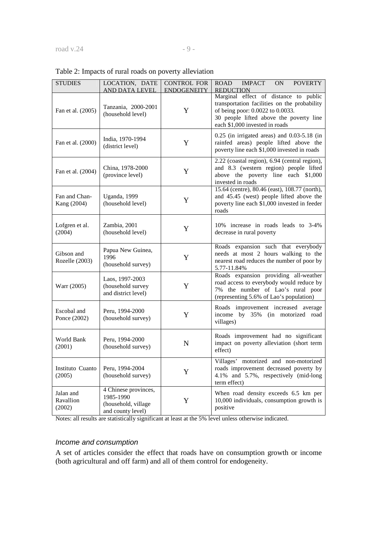|  |  | Table 2: Impacts of rural roads on poverty alleviation |
|--|--|--------------------------------------------------------|
|  |  |                                                        |

| <b>STUDIES</b>                   | LOCATION, DATE<br>AND DATA LEVEL                                              | <b>CONTROL FOR</b><br><b>ENDOGENEITY</b> | <b>IMPACT</b><br><b>POVERTY</b><br><b>ROAD</b><br><b>ON</b><br><b>REDUCTION</b>                                                                                                                        |
|----------------------------------|-------------------------------------------------------------------------------|------------------------------------------|--------------------------------------------------------------------------------------------------------------------------------------------------------------------------------------------------------|
| Fan et al. (2005)                | Tanzania, 2000-2001<br>(household level)                                      | Y                                        | Marginal effect of distance to public<br>transportation facilities on the probability<br>of being poor: 0.0022 to 0.0033.<br>30 people lifted above the poverty line<br>each \$1,000 invested in roads |
| Fan et al. (2000)                | India, 1970-1994<br>(district level)                                          | Y                                        | $0.25$ (in irrigated areas) and $0.03-5.18$ (in<br>rainfed areas) people lifted above the<br>poverty line each \$1,000 invested in roads                                                               |
| Fan et al. (2004)                | China, 1978-2000<br>(province level)                                          | Y                                        | 2.22 (coastal region), 6.94 (central region),<br>and 8.3 (western region) people lifted<br>above the poverty line each \$1,000<br>invested in roads                                                    |
| Fan and Chan-<br>Kang (2004)     | Uganda, 1999<br>(household level)                                             | Y                                        | 15.64 (centre), 80.46 (east), 108.77 (north),<br>and 45.45 (west) people lifted above the<br>poverty line each \$1,000 invested in feeder<br>roads                                                     |
| Lofgren et al.<br>(2004)         | Zambia, 2001<br>(household level)                                             | Y                                        | 10% increase in roads leads to 3-4%<br>decrease in rural poverty                                                                                                                                       |
| Gibson and<br>Rozelle (2003)     | Papua New Guinea,<br>1996<br>(household survey)                               | Y                                        | Roads expansion such that everybody<br>needs at most 2 hours walking to the<br>nearest road reduces the number of poor by<br>5.77-11.84%                                                               |
| Warr (2005)                      | Laos, 1997-2003<br>(household survey<br>and district level)                   | Y                                        | Roads expansion providing all-weather<br>road access to everybody would reduce by<br>7% the number of Lao's rural poor<br>(representing 5.6% of Lao's population)                                      |
| Escobal and<br>Ponce (2002)      | Peru, 1994-2000<br>(household survey)                                         | Y                                        | Roads improvement increased average<br>income by 35% (in motorized road<br>villages)                                                                                                                   |
| World Bank<br>(2001)             | Peru, 1994-2000<br>(household survey)                                         | N                                        | Roads improvement had no significant<br>impact on poverty alleviation (short term<br>effect)                                                                                                           |
| Instituto Cuanto<br>(2005)       | Peru, 1994-2004<br>(household survey)                                         | Y                                        | Villages' motorized and non-motorized<br>roads improvement decreased poverty by<br>4.1% and 5.7%, respectively (mid-long<br>term effect)                                                               |
| Jalan and<br>Ravallion<br>(2002) | 4 Chinese provinces,<br>1985-1990<br>(household, village<br>and county level) | Y                                        | When road density exceeds 6.5 km per<br>10,000 individuals, consumption growth is<br>positive                                                                                                          |

Notes: all results are statistically significant at least at the 5% level unless otherwise indicated.

# Income and consumption

A set of articles consider the effect that roads have on consumption growth or income (both agricultural and off farm) and all of them control for endogeneity.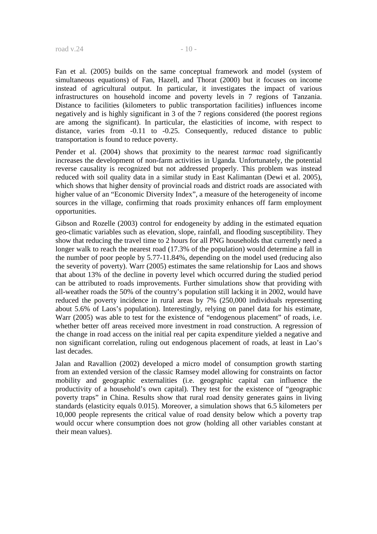Fan et al. (2005) builds on the same conceptual framework and model (system of simultaneous equations) of Fan, Hazell, and Thorat (2000) but it focuses on income instead of agricultural output. In particular, it investigates the impact of various infrastructures on household income and poverty levels in 7 regions of Tanzania. Distance to facilities (kilometers to public transportation facilities) influences income negatively and is highly significant in 3 of the 7 regions considered (the poorest regions are among the significant). In particular, the elasticities of income, with respect to distance, varies from -0.11 to -0.25. Consequently, reduced distance to public transportation is found to reduce poverty.

Pender et al. (2004) shows that proximity to the nearest *tarmac* road significantly increases the development of non-farm activities in Uganda. Unfortunately, the potential reverse causality is recognized but not addressed properly. This problem was instead reduced with soil quality data in a similar study in East Kalimantan (Dewi et al. 2005), which shows that higher density of provincial roads and district roads are associated with higher value of an "Economic Diversity Index", a measure of the heterogeneity of income sources in the village, confirming that roads proximity enhances off farm employment opportunities.

Gibson and Rozelle (2003) control for endogeneity by adding in the estimated equation geo-climatic variables such as elevation, slope, rainfall, and flooding susceptibility. They show that reducing the travel time to 2 hours for all PNG households that currently need a longer walk to reach the nearest road (17.3% of the population) would determine a fall in the number of poor people by 5.77-11.84%, depending on the model used (reducing also the severity of poverty). Warr (2005) estimates the same relationship for Laos and shows that about 13% of the decline in poverty level which occurred during the studied period can be attributed to roads improvements. Further simulations show that providing with all-weather roads the 50% of the country's population still lacking it in 2002, would have reduced the poverty incidence in rural areas by 7% (250,000 individuals representing about 5.6% of Laos's population). Interestingly, relying on panel data for his estimate, Warr (2005) was able to test for the existence of "endogenous placement" of roads, i.e. whether better off areas received more investment in road construction. A regression of the change in road access on the initial real per capita expenditure yielded a negative and non significant correlation, ruling out endogenous placement of roads, at least in Lao's last decades.

Jalan and Ravallion (2002) developed a micro model of consumption growth starting from an extended version of the classic Ramsey model allowing for constraints on factor mobility and geographic externalities (i.e. geographic capital can influence the productivity of a household's own capital). They test for the existence of "geographic poverty traps" in China. Results show that rural road density generates gains in living standards (elasticity equals 0.015). Moreover, a simulation shows that 6.5 kilometers per 10,000 people represents the critical value of road density below which a poverty trap would occur where consumption does not grow (holding all other variables constant at their mean values).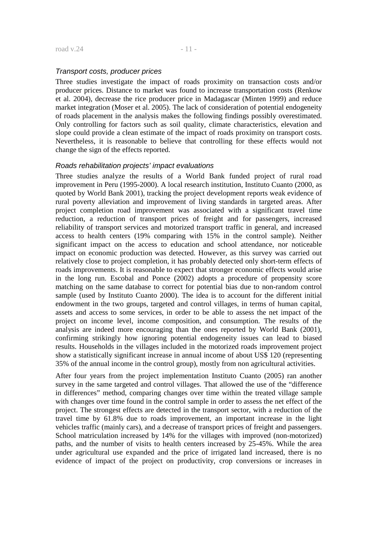#### Transport costs, producer prices

Three studies investigate the impact of roads proximity on transaction costs and/or producer prices. Distance to market was found to increase transportation costs (Renkow et al. 2004), decrease the rice producer price in Madagascar (Minten 1999) and reduce market integration (Moser et al. 2005). The lack of consideration of potential endogeneity of roads placement in the analysis makes the following findings possibly overestimated. Only controlling for factors such as soil quality, climate characteristics, elevation and slope could provide a clean estimate of the impact of roads proximity on transport costs. Nevertheless, it is reasonable to believe that controlling for these effects would not change the sign of the effects reported.

#### Roads rehabilitation projects' impact evaluations

Three studies analyze the results of a World Bank funded project of rural road improvement in Peru (1995-2000). A local research institution, Instituto Cuanto (2000, as quoted by World Bank 2001), tracking the project development reports weak evidence of rural poverty alleviation and improvement of living standards in targeted areas. After project completion road improvement was associated with a significant travel time reduction, a reduction of transport prices of freight and for passengers, increased reliability of transport services and motorized transport traffic in general, and increased access to health centers (19% comparing with 15% in the control sample). Neither significant impact on the access to education and school attendance, nor noticeable impact on economic production was detected. However, as this survey was carried out relatively close to project completion, it has probably detected only short-term effects of roads improvements. It is reasonable to expect that stronger economic effects would arise in the long run. Escobal and Ponce (2002) adopts a procedure of propensity score matching on the same database to correct for potential bias due to non-random control sample (used by Instituto Cuanto 2000). The idea is to account for the different initial endowment in the two groups, targeted and control villages, in terms of human capital, assets and access to some services, in order to be able to assess the net impact of the project on income level, income composition, and consumption. The results of the analysis are indeed more encouraging than the ones reported by World Bank (2001), confirming strikingly how ignoring potential endogeneity issues can lead to biased results. Households in the villages included in the motorized roads improvement project show a statistically significant increase in annual income of about US\$ 120 (representing 35% of the annual income in the control group), mostly from non agricultural activities.

After four years from the project implementation Instituto Cuanto (2005) ran another survey in the same targeted and control villages. That allowed the use of the "difference in differences" method, comparing changes over time within the treated village sample with changes over time found in the control sample in order to assess the net effect of the project. The strongest effects are detected in the transport sector, with a reduction of the travel time by 61.8% due to roads improvement, an important increase in the light vehicles traffic (mainly cars), and a decrease of transport prices of freight and passengers. School matriculation increased by 14% for the villages with improved (non-motorized) paths, and the number of visits to health centers increased by 25-45%. While the area under agricultural use expanded and the price of irrigated land increased, there is no evidence of impact of the project on productivity, crop conversions or increases in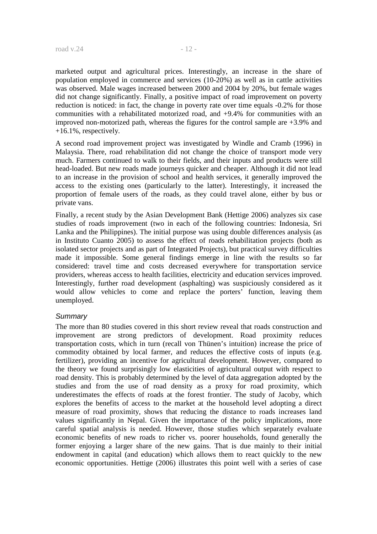marketed output and agricultural prices. Interestingly, an increase in the share of population employed in commerce and services (10-20%) as well as in cattle activities was observed. Male wages increased between 2000 and 2004 by 20%, but female wages did not change significantly. Finally, a positive impact of road improvement on poverty reduction is noticed: in fact, the change in poverty rate over time equals -0.2% for those communities with a rehabilitated motorized road, and +9.4% for communities with an improved non-motorized path, whereas the figures for the control sample are +3.9% and +16.1%, respectively.

A second road improvement project was investigated by Windle and Cramb (1996) in Malaysia. There, road rehabilitation did not change the choice of transport mode very much. Farmers continued to walk to their fields, and their inputs and products were still head-loaded. But new roads made journeys quicker and cheaper. Although it did not lead to an increase in the provision of school and health services, it generally improved the access to the existing ones (particularly to the latter). Interestingly, it increased the proportion of female users of the roads, as they could travel alone, either by bus or private vans.

Finally, a recent study by the Asian Development Bank (Hettige 2006) analyzes six case studies of roads improvement (two in each of the following countries: Indonesia, Sri Lanka and the Philippines). The initial purpose was using double differences analysis (as in Instituto Cuanto 2005) to assess the effect of roads rehabilitation projects (both as isolated sector projects and as part of Integrated Projects), but practical survey difficulties made it impossible. Some general findings emerge in line with the results so far considered: travel time and costs decreased everywhere for transportation service providers, whereas access to health facilities, electricity and education services improved. Interestingly, further road development (asphalting) was suspiciously considered as it would allow vehicles to come and replace the porters' function, leaving them unemployed.

#### **Summary**

The more than 80 studies covered in this short review reveal that roads construction and improvement are strong predictors of development. Road proximity reduces transportation costs, which in turn (recall von Thünen's intuition) increase the price of commodity obtained by local farmer, and reduces the effective costs of inputs (e.g. fertilizer), providing an incentive for agricultural development. However, compared to the theory we found surprisingly low elasticities of agricultural output with respect to road density. This is probably determined by the level of data aggregation adopted by the studies and from the use of road density as a proxy for road proximity, which underestimates the effects of roads at the forest frontier. The study of Jacoby, which explores the benefits of access to the market at the household level adopting a direct measure of road proximity, shows that reducing the distance to roads increases land values significantly in Nepal. Given the importance of the policy implications, more careful spatial analysis is needed. However, those studies which separately evaluate economic benefits of new roads to richer vs. poorer households, found generally the former enjoying a larger share of the new gains. That is due mainly to their initial endowment in capital (and education) which allows them to react quickly to the new economic opportunities. Hettige (2006) illustrates this point well with a series of case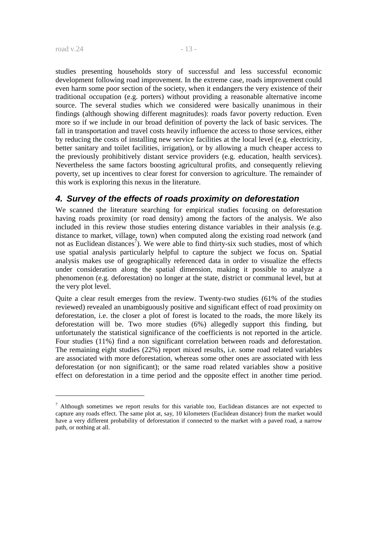<u>.</u>

studies presenting households story of successful and less successful economic development following road improvement. In the extreme case, roads improvement could even harm some poor section of the society, when it endangers the very existence of their traditional occupation (e.g. porters) without providing a reasonable alternative income source. The several studies which we considered were basically unanimous in their findings (although showing different magnitudes): roads favor poverty reduction. Even more so if we include in our broad definition of poverty the lack of basic services. The fall in transportation and travel costs heavily influence the access to those services, either by reducing the costs of installing new service facilities at the local level (e.g. electricity, better sanitary and toilet facilities, irrigation), or by allowing a much cheaper access to the previously prohibitively distant service providers (e.g. education, health services). Nevertheless the same factors boosting agricultural profits, and consequently relieving poverty, set up incentives to clear forest for conversion to agriculture. The remainder of this work is exploring this nexus in the literature.

# **4. Survey of the effects of roads proximity on deforestation**

We scanned the literature searching for empirical studies focusing on deforestation having roads proximity (or road density) among the factors of the analysis. We also included in this review those studies entering distance variables in their analysis (e.g. distance to market, village, town) when computed along the existing road network (and not as Euclidean distances<sup>7</sup>). We were able to find thirty-six such studies, most of which use spatial analysis particularly helpful to capture the subject we focus on. Spatial analysis makes use of geographically referenced data in order to visualize the effects under consideration along the spatial dimension, making it possible to analyze a phenomenon (e.g. deforestation) no longer at the state, district or communal level, but at the very plot level.

Quite a clear result emerges from the review. Twenty-two studies (61% of the studies reviewed) revealed an unambiguously positive and significant effect of road proximity on deforestation, i.e. the closer a plot of forest is located to the roads, the more likely its deforestation will be. Two more studies (6%) allegedly support this finding, but unfortunately the statistical significance of the coefficients is not reported in the article. Four studies (11%) find a non significant correlation between roads and deforestation. The remaining eight studies (22%) report mixed results, i.e. some road related variables are associated with more deforestation, whereas some other ones are associated with less deforestation (or non significant); or the same road related variables show a positive effect on deforestation in a time period and the opposite effect in another time period.

 $<sup>7</sup>$  Although sometimes we report results for this variable too, Euclidean distances are not expected to</sup> capture any roads effect. The same plot at, say, 10 kilometers (Euclidean distance) from the market would have a very different probability of deforestation if connected to the market with a paved road, a narrow path, or nothing at all.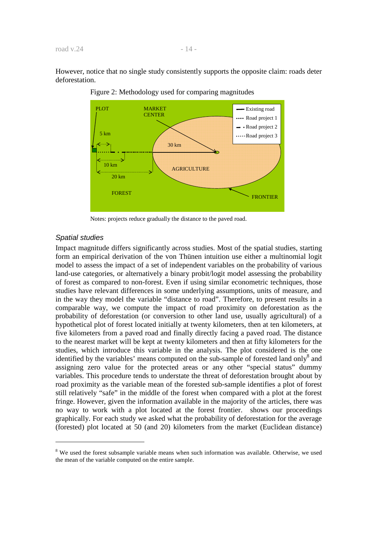However, notice that no single study consistently supports the opposite claim: roads deter deforestation.



Figure 2: Methodology used for comparing magnitudes

Notes: projects reduce gradually the distance to the paved road.

#### Spatial studies

-

Impact magnitude differs significantly across studies. Most of the spatial studies, starting form an empirical derivation of the von Thünen intuition use either a multinomial logit model to assess the impact of a set of independent variables on the probability of various land-use categories, or alternatively a binary probit/logit model assessing the probability of forest as compared to non-forest. Even if using similar econometric techniques, those studies have relevant differences in some underlying assumptions, units of measure, and in the way they model the variable "distance to road". Therefore, to present results in a comparable way, we compute the impact of road proximity on deforestation as the probability of deforestation (or conversion to other land use, usually agricultural) of a hypothetical plot of forest located initially at twenty kilometers, then at ten kilometers, at five kilometers from a paved road and finally directly facing a paved road. The distance to the nearest market will be kept at twenty kilometers and then at fifty kilometers for the studies, which introduce this variable in the analysis. The plot considered is the one identified by the variables' means computed on the sub-sample of forested land only<sup>8</sup> and assigning zero value for the protected areas or any other "special status" dummy variables. This procedure tends to understate the threat of deforestation brought about by road proximity as the variable mean of the forested sub-sample identifies a plot of forest still relatively "safe" in the middle of the forest when compared with a plot at the forest fringe. However, given the information available in the majority of the articles, there was no way to work with a plot located at the forest frontier. shows our proceedings graphically. For each study we asked what the probability of deforestation for the average (forested) plot located at 50 (and 20) kilometers from the market (Euclidean distance)

<sup>&</sup>lt;sup>8</sup> We used the forest subsample variable means when such information was available. Otherwise, we used the mean of the variable computed on the entire sample.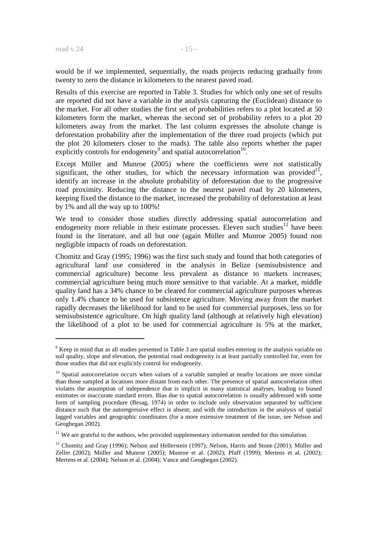would be if we implemented, sequentially, the roads projects reducing gradually from twenty to zero the distance in kilometers to the nearest paved road.

Results of this exercise are reported in Table 3. Studies for which only one set of results are reported did not have a variable in the analysis capturing the (Euclidean) distance to the market. For all other studies the first set of probabilities refers to a plot located at 50 kilometers form the market, whereas the second set of probability refers to a plot 20 kilometers away from the market. The last column expresses the absolute change is deforestation probability after the implementation of the three road projects (which put the plot 20 kilometers closer to the roads). The table also reports whether the paper explicitly controls for endogeneity<sup>9</sup> and spatial autocorrelation<sup>10</sup>.

Except Müller and Munroe (2005) where the coefficients were not statistically significant, the other studies, for which the necessary information was provided<sup>11</sup>, identify an increase in the absolute probability of deforestation due to the progressive road proximity. Reducing the distance to the nearest paved road by 20 kilometers, keeping fixed the distance to the market, increased the probability of deforestation at least by 1% and all the way up to 100%!

We tend to consider those studies directly addressing spatial autocorrelation and endogeneity more reliable in their estimate processes. Eleven such studies<sup>12</sup> have been found in the literature, and all but one (again Müller and Munroe 2005) found non negligible impacts of roads on deforestation.

Chomitz and Gray (1995; 1996) was the first such study and found that both categories of agricultural land use considered in the analysis in Belize (semisubsistence and commercial agriculture) become less prevalent as distance to markets increases; commercial agriculture being much more sensitive to that variable. At a market, middle quality land has a 34% chance to be cleared for commercial agriculture purposes whereas only 1.4% chance to be used for subsistence agriculture. Moving away from the market rapidly decreases the likelihood for land to be used for commercial purposes, less so for semisubsistence agriculture. On high quality land (although at relatively high elevation) the likelihood of a plot to be used for commercial agriculture is 5% at the market,

<sup>&</sup>lt;sup>9</sup> Keep in mind that as all studies presented in Table 3 are spatial studies entering in the analysis variable on soil quality, slope and elevation, the potential road endogeneity is at least partially controlled for, even for those studies that did not explicitly control for endogeneity.

 $10$  Spatial autocorrelation occurs when values of a variable sampled at nearby locations are more similar than those sampled at locations more distant from each other. The presence of spatial autocorrelation often violates the assumption of independence that is implicit in many statistical analyses, leading to biased estimates or inaccurate standard errors. Bias due to spatial autocorrelation is usually addressed with some form of sampling procedure (Besag, 1974) in order to include only observation separated by sufficient distance such that the autoregressive effect is absent; and with the introduction in the analysis of spatial lagged variables and geographic coordinates (for a more extensive treatment of the issue, see Nelson and Geoghegan 2002).

<sup>&</sup>lt;sup>11</sup> We are grateful to the authors, who provided supplementary information needed for this simulation.

<sup>&</sup>lt;sup>12</sup> Chomitz and Gray (1996); Nelson and Hellerstein (1997); Nelson, Harris and Stone (2001); Müller and Zeller (2002); Müller and Munroe (2005); Munroe et al. (2002); Pfaff (1999); Mertens et al. (2002); Mertens et al. (2004); Nelson et al. (2004); Vance and Geoghegan (2002).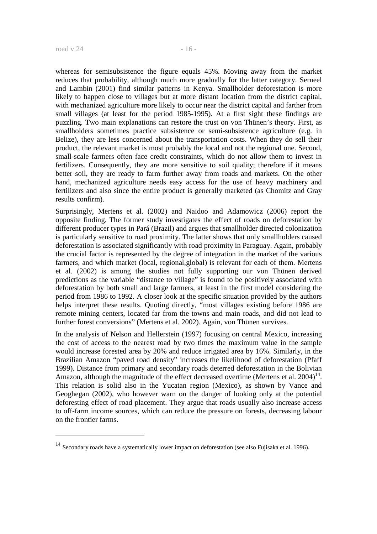whereas for semisubsistence the figure equals 45%. Moving away from the market reduces that probability, although much more gradually for the latter category. Serneel and Lambin (2001) find similar patterns in Kenya. Smallholder deforestation is more likely to happen close to villages but at more distant location from the district capital, with mechanized agriculture more likely to occur near the district capital and farther from small villages (at least for the period 1985-1995). At a first sight these findings are puzzling. Two main explanations can restore the trust on von Thünen's theory. First, as smallholders sometimes practice subsistence or semi-subsistence agriculture (e.g. in Belize), they are less concerned about the transportation costs. When they do sell their product, the relevant market is most probably the local and not the regional one. Second, small-scale farmers often face credit constraints, which do not allow them to invest in fertilizers. Consequently, they are more sensitive to soil quality; therefore if it means better soil, they are ready to farm further away from roads and markets. On the other hand, mechanized agriculture needs easy access for the use of heavy machinery and fertilizers and also since the entire product is generally marketed (as Chomitz and Gray results confirm).

Surprisingly, Mertens et al. (2002) and Naidoo and Adamowicz (2006) report the opposite finding. The former study investigates the effect of roads on deforestation by different producer types in Pará (Brazil) and argues that smallholder directed colonization is particularly sensitive to road proximity. The latter shows that only smallholders caused deforestation is associated significantly with road proximity in Paraguay. Again, probably the crucial factor is represented by the degree of integration in the market of the various farmers, and which market (local, regional,global) is relevant for each of them. Mertens et al. (2002) is among the studies not fully supporting our von Thünen derived predictions as the variable "distance to village" is found to be positively associated with deforestation by both small and large farmers, at least in the first model considering the period from 1986 to 1992. A closer look at the specific situation provided by the authors helps interpret these results. Quoting directly, "most villages existing before 1986 are remote mining centers, located far from the towns and main roads, and did not lead to further forest conversions" (Mertens et al. 2002). Again, von Thünen survives.

In the analysis of Nelson and Hellerstein (1997) focusing on central Mexico, increasing the cost of access to the nearest road by two times the maximum value in the sample would increase forested area by 20% and reduce irrigated area by 16%. Similarly, in the Brazilian Amazon "paved road density" increases the likelihood of deforestation (Pfaff 1999). Distance from primary and secondary roads deterred deforestation in the Bolivian Amazon, although the magnitude of the effect decreased overtime (Mertens et al.  $2004$ )<sup>14</sup>. This relation is solid also in the Yucatan region (Mexico), as shown by Vance and Geoghegan (2002), who however warn on the danger of looking only at the potential deforesting effect of road placement. They argue that roads usually also increase access to off-farm income sources, which can reduce the pressure on forests, decreasing labour on the frontier farms.

<sup>&</sup>lt;sup>14</sup> Secondary roads have a systematically lower impact on deforestation (see also Fujisaka et al. 1996).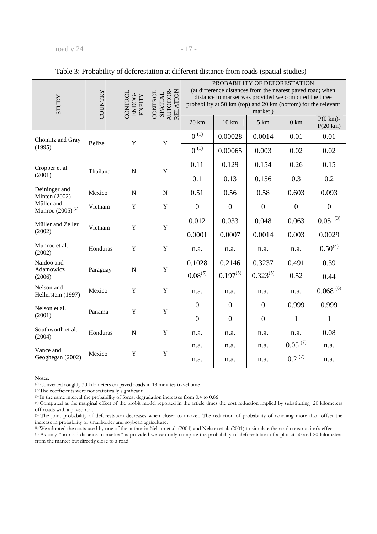#### road v.24 - 17 -

| <b>ACCLLS</b>                       | COUNTRY       | CONTROL<br>ENDOG-<br>ENEITY | SPATIAL<br>AUTOCOR-<br>RELATION<br>CONTROL | PROBABILITY OF DEFORESTATION<br>(at difference distances from the nearest paved road; when<br>distance to market was provided we computed the three<br>probability at 50 km (top) and 20 km (bottom) for the relevant<br>market) |                  |                  |                  |                         |  |
|-------------------------------------|---------------|-----------------------------|--------------------------------------------|----------------------------------------------------------------------------------------------------------------------------------------------------------------------------------------------------------------------------------|------------------|------------------|------------------|-------------------------|--|
|                                     |               |                             |                                            | 20 km                                                                                                                                                                                                                            | $10 \text{ km}$  | $5 \text{ km}$   | $0 \text{ km}$   | $P(0 km)$ -<br>P(20 km) |  |
| Chomitz and Gray                    | <b>Belize</b> | $\mathbf Y$                 | $\mathbf Y$                                | $0^{(1)}$                                                                                                                                                                                                                        | 0.00028          | 0.0014           | 0.01             | 0.01                    |  |
| (1995)                              |               |                             |                                            | $0^{(1)}$                                                                                                                                                                                                                        | 0.00065          | 0.003            | 0.02             | 0.02                    |  |
| Cropper et al.<br>(2001)            | Thailand      | ${\bf N}$                   | $\mathbf Y$                                | 0.11                                                                                                                                                                                                                             | 0.129            | 0.154            | 0.26             | 0.15                    |  |
|                                     |               |                             |                                            | 0.1                                                                                                                                                                                                                              | 0.13             | 0.156            | 0.3              | 0.2                     |  |
| Deininger and<br>Minten (2002)      | Mexico        | ${\bf N}$                   | ${\bf N}$                                  | 0.51                                                                                                                                                                                                                             | 0.56             | 0.58             | 0.603            | 0.093                   |  |
| Müller and<br>Munroe $(2005)^{(2)}$ | Vietnam       | Y                           | $\mathbf Y$                                | $\boldsymbol{0}$                                                                                                                                                                                                                 | $\boldsymbol{0}$ | $\boldsymbol{0}$ | $\boldsymbol{0}$ | $\boldsymbol{0}$        |  |
| Müller and Zeller<br>(2002)         | Vietnam       | $\mathbf Y$                 | $\mathbf Y$                                | 0.012                                                                                                                                                                                                                            | 0.033            | 0.048            | 0.063            | $0.051^{(3)}$           |  |
|                                     |               |                             |                                            | 0.0001                                                                                                                                                                                                                           | 0.0007           | 0.0014           | 0.003            | 0.0029                  |  |
| Munroe et al.<br>(2002)             | Honduras      | $\mathbf Y$                 | $\mathbf Y$                                | n.a.                                                                                                                                                                                                                             | n.a.             | n.a.             | n.a.             | $0.50^{(4)}$            |  |
| Naidoo and<br>Adamowicz             |               |                             | $\mathbf Y$                                | 0.1028                                                                                                                                                                                                                           | 0.2146           | 0.3237           | 0.491            | 0.39                    |  |
| (2006)                              | Paraguay      | ${\bf N}$                   |                                            | $0.08^{(5)}$                                                                                                                                                                                                                     | $0.197^{(5)}$    | $0.323^{(5)}$    | 0.52             | 0.44                    |  |
| Nelson and<br>Hellerstein (1997)    | Mexico        | $\mathbf Y$                 | $\mathbf Y$                                | n.a.                                                                                                                                                                                                                             | n.a.             | n.a.             | n.a.             | $0.068\,^{(6)}$         |  |
| Nelson et al.                       | Panama        | $\mathbf Y$                 | $\mathbf Y$                                | $\boldsymbol{0}$                                                                                                                                                                                                                 | $\mathbf{0}$     | $\mathbf{0}$     | 0.999            | 0.999                   |  |
| (2001)                              |               |                             |                                            | $\boldsymbol{0}$                                                                                                                                                                                                                 | $\overline{0}$   | $\mathbf{0}$     | $\mathbf{1}$     | $\mathbf{1}$            |  |
| Southworth et al.<br>(2004)         | Honduras      | ${\bf N}$                   | $\mathbf Y$                                | n.a.                                                                                                                                                                                                                             | n.a.             | n.a.             | n.a.             | 0.08                    |  |
| Vance and<br>Geoghegan (2002)       |               |                             |                                            | n.a.                                                                                                                                                                                                                             | n.a.             | n.a.             | $0.05^{(7)}$     | n.a.                    |  |
|                                     | Mexico        | Y                           | $\mathbf Y$                                | n.a.                                                                                                                                                                                                                             | n.a.             | n.a.             | $0.2^{(7)}$      | n.a.                    |  |

#### Table 3: Probability of deforestation at different distance from roads (spatial studies)

Notes:

(1) Converted roughly 30 kilometers on paved roads in 18 minutes travel time

(2) The coefficients were not statistically significant

(3) In the same interval the probability of forest degradation increases from 0.4 to 0.86

(4) Computed as the marginal effect of the probit model reported in the article times the cost reduction implied by substituting 20 kilometers off-roads with a paved road

(5) The joint probability of deforestation decreases when closer to market. The reduction of probability of ranching more than offset the increase in probability of smallholder and soybean agriculture.

(6) We adopted the costs used by one of the author in Nelson et al. (2004) and Nelson et al. (2001) to simulate the road construction's effect

(7) As only "on-road distance to market" is provided we can only compute the probability of deforestation of a plot at 50 and 20 kilometers from the market but directly close to a road.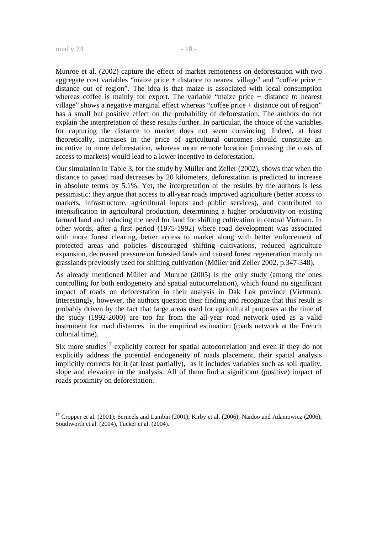Munroe et al. (2002) capture the effect of market remoteness on deforestation with two aggregate cost variables "maize price + distance to nearest village" and "coffee price + distance out of region". The idea is that maize is associated with local consumption whereas coffee is mainly for export. The variable "maize price + distance to nearest village" shows a negative marginal effect whereas "coffee price + distance out of region" has a small but positive effect on the probability of deforestation. The authors do not explain the interpretation of these results further. In particular, the choice of the variables for capturing the distance to market does not seem convincing. Indeed, at least theoretically, increases in the price of agricultural outcomes should constitute an incentive to more deforestation, whereas more remote location (increasing the costs of access to markets) would lead to a lower incentive to deforestation.

Our simulation in Table 3, for the study by Müller and Zeller (2002), shows that when the distance to paved road decreases by 20 kilometers, deforestation is predicted to increase in absolute terms by 5.1%. Yet, the interpretation of the results by the authors is less pessimistic: they argue that access to all-year roads improved agriculture (better access to markets, infrastructure, agricultural inputs and public services), and contributed to intensification in agricultural production, determining a higher productivity on existing farmed land and reducing the need for land for shifting cultivation in central Vietnam. In other words, after a first period (1975-1992) where road development was associated with more forest clearing, better access to market along with better enforcement of protected areas and policies discouraged shifting cultivations, reduced agriculture expansion, decreased pressure on forested lands and caused forest regeneration mainly on grasslands previously used for shifting cultivation (Müller and Zeller 2002, p.347-348).

As already mentioned Müller and Munroe (2005) is the only study (among the ones controlling for both endogeneity and spatial autocorrelation), which found no significant impact of roads on deforestation in their analysis in Dak Lak province (Vietman). Interestingly, however, the authors question their finding and recognize that this result is probably driven by the fact that large areas used for agricultural purposes at the time of the study (1992-2000) are too far from the all-year road network used as a valid instrument for road distances in the empirical estimation (roads network at the French colonial time).

Six more studies<sup>17</sup> explicitly correct for spatial autocorrelation and even if they do not explicitly address the potential endogeneity of roads placement, their spatial analysis implicitly corrects for it (at least partially), as it includes variables such as soil quality, slope and elevation in the analysis. All of them find a significant (positive) impact of roads proximity on deforestation.

<sup>&</sup>lt;sup>17</sup> Cropper et al. (2001); Serneels and Lambin (2001); Kirby et al. (2006); Naidoo and Adamowicz (2006); Southworth et al. (2004), Tucker et al. (2004).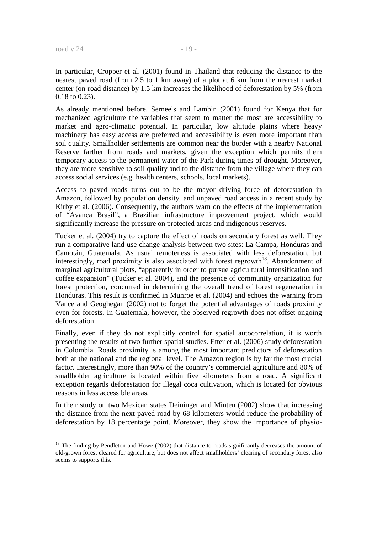In particular, Cropper et al. (2001) found in Thailand that reducing the distance to the nearest paved road (from 2.5 to 1 km away) of a plot at 6 km from the nearest market center (on-road distance) by 1.5 km increases the likelihood of deforestation by 5% (from 0.18 to 0.23).

As already mentioned before, Serneels and Lambin (2001) found for Kenya that for mechanized agriculture the variables that seem to matter the most are accessibility to market and agro-climatic potential. In particular, low altitude plains where heavy machinery has easy access are preferred and accessibility is even more important than soil quality. Smallholder settlements are common near the border with a nearby National Reserve farther from roads and markets, given the exception which permits them temporary access to the permanent water of the Park during times of drought. Moreover, they are more sensitive to soil quality and to the distance from the village where they can access social services (e.g. health centers, schools, local markets).

Access to paved roads turns out to be the mayor driving force of deforestation in Amazon, followed by population density, and unpaved road access in a recent study by Kirby et al. (2006). Consequently, the authors warn on the effects of the implementation of "Avanca Brasil", a Brazilian infrastructure improvement project, which would significantly increase the pressure on protected areas and indigenous reserves.

Tucker et al. (2004) try to capture the effect of roads on secondary forest as well. They run a comparative land-use change analysis between two sites: La Campa, Honduras and Camotán, Guatemala. As usual remoteness is associated with less deforestation, but interestingly, road proximity is also associated with forest regrowth<sup>18</sup>. Abandonment of marginal agricultural plots, "apparently in order to pursue agricultural intensification and coffee expansion" (Tucker et al. 2004), and the presence of community organization for forest protection, concurred in determining the overall trend of forest regeneration in Honduras. This result is confirmed in Munroe et al. (2004) and echoes the warning from Vance and Geoghegan (2002) not to forget the potential advantages of roads proximity even for forests. In Guatemala, however, the observed regrowth does not offset ongoing deforestation.

Finally, even if they do not explicitly control for spatial autocorrelation, it is worth presenting the results of two further spatial studies. Etter et al. (2006) study deforestation in Colombia. Roads proximity is among the most important predictors of deforestation both at the national and the regional level. The Amazon region is by far the most crucial factor. Interestingly, more than 90% of the country's commercial agriculture and 80% of smallholder agriculture is located within five kilometers from a road. A significant exception regards deforestation for illegal coca cultivation, which is located for obvious reasons in less accessible areas.

In their study on two Mexican states Deininger and Minten (2002) show that increasing the distance from the next paved road by 68 kilometers would reduce the probability of deforestation by 18 percentage point. Moreover, they show the importance of physio-

<sup>&</sup>lt;sup>18</sup> The finding by Pendleton and Howe (2002) that distance to roads significantly decreases the amount of old-grown forest cleared for agriculture, but does not affect smallholders' clearing of secondary forest also seems to supports this.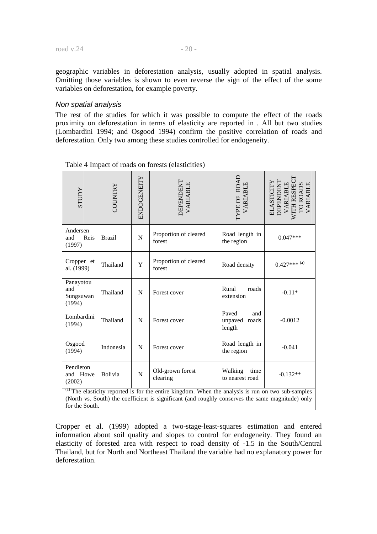geographic variables in deforestation analysis, usually adopted in spatial analysis. Omitting those variables is shown to even reverse the sign of the effect of the some variables on deforestation, for example poverty.

#### Non spatial analysis

The rest of the studies for which it was possible to compute the effect of the roads proximity on deforestation in terms of elasticity are reported in . All but two studies (Lombardini 1994; and Osgood 1994) confirm the positive correlation of roads and deforestation. Only two among these studies controlled for endogeneity.

| <b>ACCLES</b>                           | COUNTRY       | ENDOGENEITY | <b>DEPENDENT</b><br>VARIABLE                                                                                                                                                                                        | YPE OF ROAD<br>VARIABLE                    | ELASTICITY<br>DEPENDENT<br>VARIABLE<br>WITH RESPECT<br>TO ROADS<br>VARIABLE |
|-----------------------------------------|---------------|-------------|---------------------------------------------------------------------------------------------------------------------------------------------------------------------------------------------------------------------|--------------------------------------------|-----------------------------------------------------------------------------|
| Andersen<br>Reis<br>and<br>(1997)       | <b>Brazil</b> | N           | Proportion of cleared<br>forest                                                                                                                                                                                     | Road length in<br>the region               | $0.047***$                                                                  |
| Cropper et<br>al. (1999)                | Thailand      | Y           | Proportion of cleared<br>forest                                                                                                                                                                                     | Road density                               | $0.427***$ <sup>(a)</sup>                                                   |
| Panayotou<br>and<br>Sungsuwan<br>(1994) | Thailand      | N           | Forest cover                                                                                                                                                                                                        | Rural<br>roads<br>extension                | $-0.11*$                                                                    |
| Lombardini<br>(1994)                    | Thailand      | N           | Forest cover                                                                                                                                                                                                        | Paved<br>and<br>unpaved<br>roads<br>length | $-0.0012$                                                                   |
| Osgood<br>(1994)                        | Indonesia     | N           | Forest cover                                                                                                                                                                                                        | Road length in<br>the region               | $-0.041$                                                                    |
| Pendleton<br>and Howe<br>(2002)         | Bolivia       | N           | Old-grown forest<br>clearing                                                                                                                                                                                        | Walking<br>time<br>to nearest road         | $-0.132**$                                                                  |
| for the South.                          |               |             | $\overline{a}$ ) The elasticity reported is for the entire kingdom. When the analysis is run on two sub-samples<br>(North vs. South) the coefficient is significant (and roughly conserves the same magnitude) only |                                            |                                                                             |

Table 4 Impact of roads on forests (elasticities)

Cropper et al. (1999) adopted a two-stage-least-squares estimation and entered information about soil quality and slopes to control for endogeneity. They found an elasticity of forested area with respect to road density of -1.5 in the South/Central Thailand, but for North and Northeast Thailand the variable had no explanatory power for deforestation.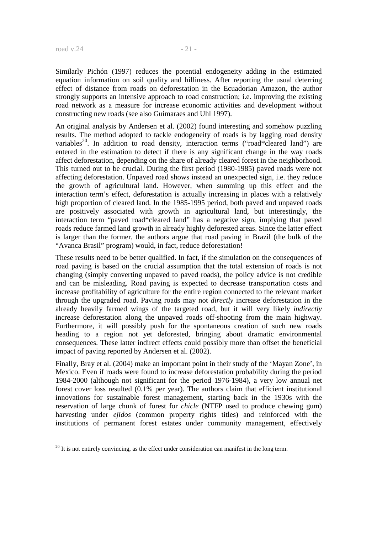Similarly Pichón (1997) reduces the potential endogeneity adding in the estimated equation information on soil quality and hilliness. After reporting the usual deterring effect of distance from roads on deforestation in the Ecuadorian Amazon, the author strongly supports an intensive approach to road construction; i.e. improving the existing road network as a measure for increase economic activities and development without constructing new roads (see also Guimaraes and Uhl 1997).

An original analysis by Andersen et al. (2002) found interesting and somehow puzzling results. The method adopted to tackle endogeneity of roads is by lagging road density variables<sup>20</sup>. In addition to road density, interaction terms ("road\*cleared land") are entered in the estimation to detect if there is any significant change in the way roads affect deforestation, depending on the share of already cleared forest in the neighborhood. This turned out to be crucial. During the first period (1980-1985) paved roads were not affecting deforestation. Unpaved road shows instead an unexpected sign, i.e. they reduce the growth of agricultural land. However, when summing up this effect and the interaction term's effect, deforestation is actually increasing in places with a relatively high proportion of cleared land. In the 1985-1995 period, both paved and unpaved roads are positively associated with growth in agricultural land, but interestingly, the interaction term "paved road\*cleared land" has a negative sign, implying that paved roads reduce farmed land growth in already highly deforested areas. Since the latter effect is larger than the former, the authors argue that road paving in Brazil (the bulk of the "Avanca Brasil" program) would, in fact, reduce deforestation!

These results need to be better qualified. In fact, if the simulation on the consequences of road paving is based on the crucial assumption that the total extension of roads is not changing (simply converting unpaved to paved roads), the policy advice is not credible and can be misleading. Road paving is expected to decrease transportation costs and increase profitability of agriculture for the entire region connected to the relevant market through the upgraded road. Paving roads may not *directly* increase deforestation in the already heavily farmed wings of the targeted road, but it will very likely *indirectly* increase deforestation along the unpaved roads off-shooting from the main highway. Furthermore, it will possibly push for the spontaneous creation of such new roads heading to a region not yet deforested, bringing about dramatic environmental consequences. These latter indirect effects could possibly more than offset the beneficial impact of paving reported by Andersen et al. (2002).

Finally, Bray et al. (2004) make an important point in their study of the 'Mayan Zone', in Mexico. Even if roads were found to increase deforestation probability during the period 1984-2000 (although not significant for the period 1976-1984), a very low annual net forest cover loss resulted (0.1% per year). The authors claim that efficient institutional innovations for sustainable forest management, starting back in the 1930s with the reservation of large chunk of forest for *chicle* (NTFP used to produce chewing gum) harvesting under *ejidos* (common property rights titles) and reinforced with the institutions of permanent forest estates under community management, effectively

 $^{20}$  It is not entirely convincing, as the effect under consideration can manifest in the long term.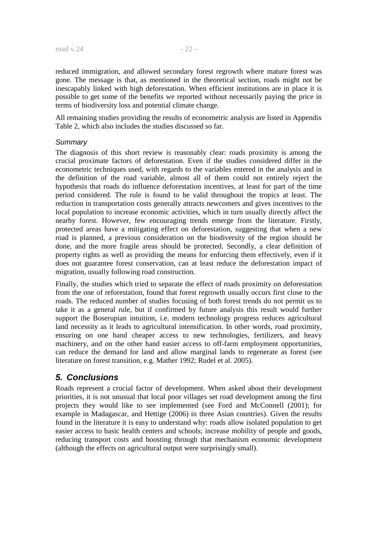reduced immigration, and allowed secondary forest regrowth where mature forest was gone. The message is that, as mentioned in the theoretical section, roads might not be inescapably linked with high deforestation. When efficient institutions are in place it is possible to get some of the benefits we reported without necessarily paying the price in terms of biodiversity loss and potential climate change.

All remaining studies providing the results of econometric analysis are listed in Appendix Table 2, which also includes the studies discussed so far.

#### **Summary**

The diagnosis of this short review is reasonably clear: roads proximity is among the crucial proximate factors of deforestation. Even if the studies considered differ in the econometric techniques used, with regards to the variables entered in the analysis and in the definition of the road variable, almost all of them could not entirely reject the hypothesis that roads do influence deforestation incentives, at least for part of the time period considered. The rule is found to be valid throughout the tropics at least. The reduction in transportation costs generally attracts newcomers and gives incentives to the local population to increase economic activities, which in turn usually directly affect the nearby forest. However, few encouraging trends emerge from the literature. Firstly, protected areas have a mitigating effect on deforestation, suggesting that when a new road is planned, a previous consideration on the biodiversity of the region should be done, and the more fragile areas should be protected. Secondly, a clear definition of property rights as well as providing the means for enforcing them effectively, even if it does not guarantee forest conservation, can at least reduce the deforestation impact of migration, usually following road construction.

Finally, the studies which tried to separate the effect of roads proximity on deforestation from the one of reforestation, found that forest regrowth usually occurs first close to the roads. The reduced number of studies focusing of both forest trends do not permit us to take it as a general rule, but if confirmed by future analysis this result would further support the Boserupian intuition, i.e. modern technology progress reduces agricultural land necessity as it leads to agricultural intensification. In other words, road proximity, ensuring on one hand cheaper access to new technologies, fertilizers, and heavy machinery, and on the other hand easier access to off-farm employment opportunities, can reduce the demand for land and allow marginal lands to regenerate as forest (see literature on forest transition, e.g. Mather 1992; Rudel et al. 2005).

# **5. Conclusions**

Roads represent a crucial factor of development. When asked about their development priorities, it is not unusual that local poor villages set road development among the first projects they would like to see implemented (see Ford and McConnell (2001); for example in Madagascar, and Hettige (2006) in three Asian countries). Given the results found in the literature it is easy to understand why: roads allow isolated population to get easier access to basic health centers and schools; increase mobility of people and goods, reducing transport costs and boosting through that mechanism economic development (although the effects on agricultural output were surprisingly small).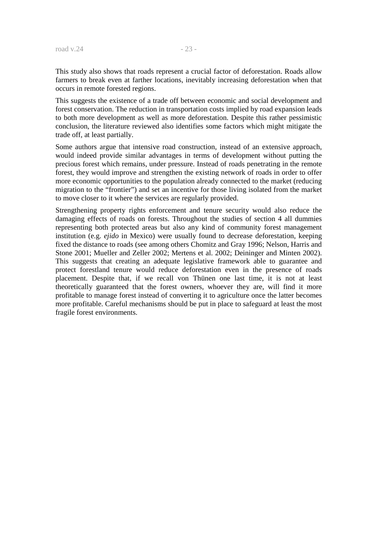This study also shows that roads represent a crucial factor of deforestation. Roads allow farmers to break even at farther locations, inevitably increasing deforestation when that occurs in remote forested regions.

This suggests the existence of a trade off between economic and social development and forest conservation. The reduction in transportation costs implied by road expansion leads to both more development as well as more deforestation. Despite this rather pessimistic conclusion, the literature reviewed also identifies some factors which might mitigate the trade off, at least partially.

Some authors argue that intensive road construction, instead of an extensive approach, would indeed provide similar advantages in terms of development without putting the precious forest which remains, under pressure. Instead of roads penetrating in the remote forest, they would improve and strengthen the existing network of roads in order to offer more economic opportunities to the population already connected to the market (reducing migration to the "frontier") and set an incentive for those living isolated from the market to move closer to it where the services are regularly provided.

Strengthening property rights enforcement and tenure security would also reduce the damaging effects of roads on forests. Throughout the studies of section 4 all dummies representing both protected areas but also any kind of community forest management institution (e.g. *ejido* in Mexico) were usually found to decrease deforestation, keeping fixed the distance to roads (see among others Chomitz and Gray 1996; Nelson, Harris and Stone 2001; Mueller and Zeller 2002; Mertens et al. 2002; Deininger and Minten 2002). This suggests that creating an adequate legislative framework able to guarantee and protect forestland tenure would reduce deforestation even in the presence of roads placement. Despite that, if we recall von Thünen one last time, it is not at least theoretically guaranteed that the forest owners, whoever they are, will find it more profitable to manage forest instead of converting it to agriculture once the latter becomes more profitable. Careful mechanisms should be put in place to safeguard at least the most fragile forest environments.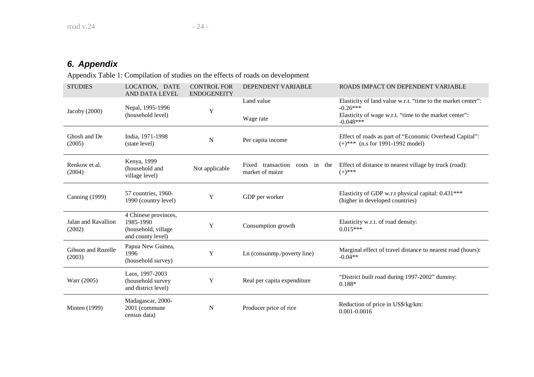# **6. Appendix**

Appendix Table 1: Compilation of studies on the effects of roads on development

| <b>STUDIES</b>                | LOCATION, DATE<br>AND DATA LEVEL                                              | <b>CONTROL FOR</b><br><b>ENDOGENEITY</b> | DEPENDENT VARIABLE                                   | ROADS IMPACT ON DEPENDENT VARIABLE                                                                                                   |
|-------------------------------|-------------------------------------------------------------------------------|------------------------------------------|------------------------------------------------------|--------------------------------------------------------------------------------------------------------------------------------------|
| Jacoby (2000)                 | Nepal, 1995-1996<br>(household level)                                         | Y                                        | Land value                                           | Elasticity of land value w.r.t. "time to the market center":<br>$-0.26***$<br>Elasticity of wage w.r.t. "time to the market center": |
|                               |                                                                               |                                          | Wage rate                                            | $-0.048***$                                                                                                                          |
| Ghosh and De<br>(2005)        | India, 1971-1998<br>(state level)                                             | N                                        | Per capita income                                    | Effect of roads as part of "Economic Overhead Capital":<br>$(+)$ *** (n.s for 1991-1992 model)                                       |
| Renkow et al.<br>(2004)       | Kenya, 1999<br>(household and<br>village level)                               | Not applicable                           | Fixed transaction<br>costs in the<br>market of maize | Effect of distance to nearest village by truck (road):<br>$(+)$ ***                                                                  |
| <b>Canning (1999)</b>         | 57 countries, 1960-<br>1990 (country level)                                   | Y                                        | GDP per worker                                       | Elasticity of GDP w.r.t physical capital: 0.431***<br>(higher in developed countries)                                                |
| Jalan and Ravallion<br>(2002) | 4 Chinese provinces,<br>1985-1990<br>(household, village<br>and county level) | Y                                        | Consumption growth                                   | Elasticity w.r.t. of road density:<br>$0.015***$                                                                                     |
| Gibson and Rozelle<br>(2003)  | Papua New Guinea,<br>1996<br>(household survey)                               | Y                                        | Ln (consunmp./poverty line)                          | Marginal effect of travel distance to nearest road (hours):<br>$-0.04**$                                                             |
| Warr (2005)                   | Laos, 1997-2003<br>(household survey<br>and district level)                   | Y                                        | Real per capita expenditure                          | "District built road during 1997-2002" dummy:<br>0.188*                                                                              |
| <b>Minten</b> (1999)          | Madagascar, 2000-<br>2001 (commune<br>census data)                            | N                                        | Producer price of rice                               | Reduction of price in US\$/kg/km:<br>0.001-0.0016                                                                                    |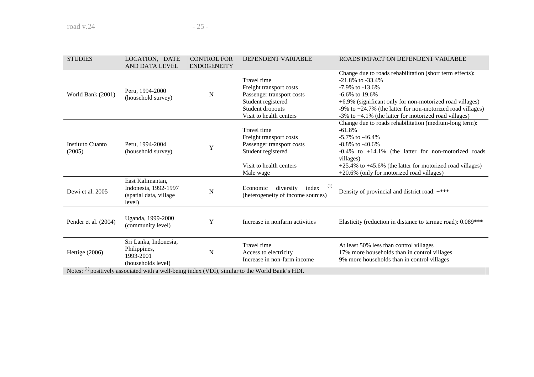| <b>STUDIES</b>             | LOCATION, DATE<br>AND DATA LEVEL                                             | <b>CONTROL FOR</b><br><b>ENDOGENEITY</b> | DEPENDENT VARIABLE                                                                                                                       | ROADS IMPACT ON DEPENDENT VARIABLE                                                                                                                                                                                                                                                                                  |
|----------------------------|------------------------------------------------------------------------------|------------------------------------------|------------------------------------------------------------------------------------------------------------------------------------------|---------------------------------------------------------------------------------------------------------------------------------------------------------------------------------------------------------------------------------------------------------------------------------------------------------------------|
| World Bank (2001)          | Peru, 1994-2000<br>(household survey)                                        | N                                        | Travel time<br>Freight transport costs<br>Passenger transport costs<br>Student registered<br>Student dropouts<br>Visit to health centers | Change due to roads rehabilitation (short term effects):<br>$-21.8\%$ to $-33.4\%$<br>$-7.9\%$ to $-13.6\%$<br>$-6.6\%$ to 19.6%<br>+6.9% (significant only for non-motorized road villages)<br>-9% to +24.7% (the latter for non-motorized road villages)<br>-3% to +4.1% (the latter for motorized road villages) |
| Instituto Cuanto<br>(2005) | Peru, 1994-2004<br>(household survey)                                        | Y                                        | Travel time<br>Freight transport costs<br>Passenger transport costs<br>Student registered<br>Visit to health centers<br>Male wage        | Change due to roads rehabilitation (medium-long term):<br>$-61.8%$<br>$-5.7\%$ to $-46.4\%$<br>$-8.8\%$ to $-40.6\%$<br>$-0.4\%$ to $+14.1\%$ (the latter for non-motorized roads<br>villages)<br>$+25.4\%$ to $+45.6\%$ (the latter for motorized road villages)<br>+20.6% (only for motorized road villages)      |
| Dewi et al. 2005           | East Kalimantan,<br>Indonesia, 1992-1997<br>(spatial data, village<br>level) | $\mathbf N$                              | (1)<br>Economic<br>diversity<br>index<br>(heterogeneity of income sources)                                                               | Density of provincial and district road: +***                                                                                                                                                                                                                                                                       |
| Pender et al. (2004)       | Uganda, 1999-2000<br>(community level)                                       | Y                                        | Increase in nonfarm activities                                                                                                           | Elasticity (reduction in distance to tarmac road): 0.089***                                                                                                                                                                                                                                                         |
| Hettige (2006)             | Sri Lanka, Indonesia,<br>Philippines,<br>1993-2001<br>(households level)     | N                                        | Travel time<br>Access to electricity<br>Increase in non-farm income                                                                      | At least 50% less than control villages<br>17% more households than in control villages<br>9% more households than in control villages                                                                                                                                                                              |
|                            |                                                                              |                                          | Notes: (1) positively associated with a well-being index (VDI), similar to the World Bank's HDI.                                         |                                                                                                                                                                                                                                                                                                                     |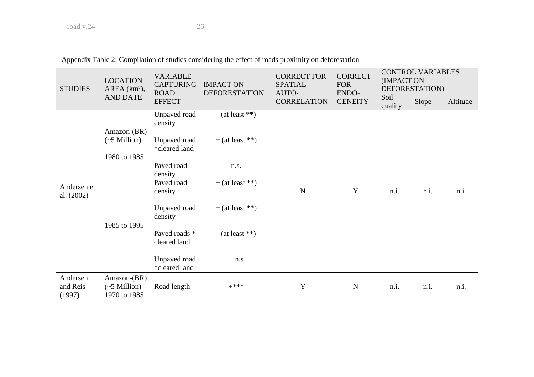| <b>STUDIES</b>                 | <b>LOCATION</b><br>AREA (km <sup>2</sup> ),<br><b>AND DATE</b> | <b>VARIABLE</b><br><b>CAPTURING</b><br><b>ROAD</b> | <b>IMPACT ON</b><br><b>DEFORESTATION</b> | <b>CORRECT FOR</b><br><b>SPATIAL</b><br>AUTO- | <b>CORRECT</b><br><b>FOR</b><br>ENDO- | <b>CONTROL VARIABLES</b><br>(IMPACT ON<br>DEFORESTATION) |       |          |
|--------------------------------|----------------------------------------------------------------|----------------------------------------------------|------------------------------------------|-----------------------------------------------|---------------------------------------|----------------------------------------------------------|-------|----------|
|                                |                                                                | <b>EFFECT</b>                                      |                                          | <b>CORRELATION</b>                            | <b>GENEITY</b>                        | Soil<br>quality                                          | Slope | Altitude |
|                                | Amazon-(BR)<br>$(\sim 5$ Million)<br>1980 to 1985              | Unpaved road<br>density                            | - (at least $**$ )                       |                                               |                                       |                                                          |       |          |
|                                |                                                                | Unpaved road<br>*cleared land                      | $+$ (at least **)                        |                                               |                                       |                                                          |       |          |
|                                |                                                                | Paved road<br>density                              | n.s.                                     |                                               |                                       |                                                          |       |          |
| Andersen et<br>al. (2002)      | 1985 to 1995                                                   | Paved road<br>density                              | $+$ (at least **)                        | $\mathbf N$                                   | Y                                     | n.i.                                                     | n.i.  | n.i.     |
|                                |                                                                | Unpaved road<br>density                            | $+$ (at least **)                        |                                               |                                       |                                                          |       |          |
|                                |                                                                | Paved roads *<br>cleared land                      | - (at least $**$ )                       |                                               |                                       |                                                          |       |          |
|                                |                                                                | Unpaved road<br>*cleared land                      | $+ n.s$                                  |                                               |                                       |                                                          |       |          |
| Andersen<br>and Reis<br>(1997) | Amazon-(BR)<br>$(\sim 5$ Million)<br>1970 to 1985              | Road length                                        | $+***$                                   | Y                                             | $\mathbf N$                           | n.i.                                                     | n.i.  | n.i.     |

Appendix Table 2: Compilation of studies considering the effect of roads proximity on deforestation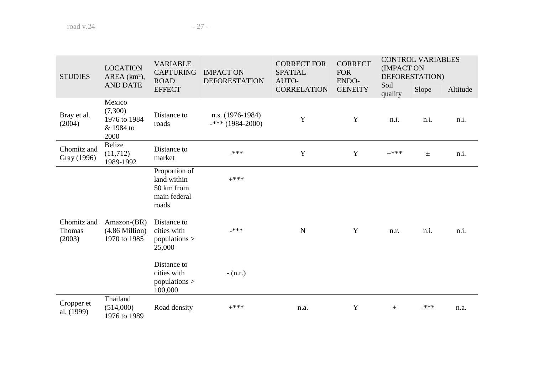| <b>STUDIES</b>                  | <b>LOCATION</b><br>AREA (km <sup>2</sup> ),            | <b>VARIABLE</b><br><b>CAPTURING</b><br><b>ROAD</b>                  | <b>IMPACT ON</b><br><b>DEFORESTATION</b> | <b>CORRECT FOR</b><br><b>SPATIAL</b><br>AUTO- | <b>CORRECT</b><br><b>FOR</b><br>ENDO- | <b>CONTROL VARIABLES</b><br>(IMPACT ON<br>DEFORESTATION) |       |          |
|---------------------------------|--------------------------------------------------------|---------------------------------------------------------------------|------------------------------------------|-----------------------------------------------|---------------------------------------|----------------------------------------------------------|-------|----------|
|                                 | <b>AND DATE</b>                                        | <b>EFFECT</b>                                                       |                                          | <b>CORRELATION</b>                            | <b>GENEITY</b>                        | Soil<br>quality                                          | Slope | Altitude |
| Bray et al.<br>(2004)           | Mexico<br>(7,300)<br>1976 to 1984<br>& 1984 to<br>2000 | Distance to<br>roads                                                | $n.s. (1976-1984)$<br>$-***$ (1984-2000) | $\mathbf Y$                                   | Y                                     | n.i.                                                     | n.i.  | n.i.     |
| Chomitz and<br>Gray (1996)      | Belize<br>(11, 712)<br>1989-1992                       | Distance to<br>market                                               | $***$                                    | $\mathbf Y$                                   | Y                                     | $+***$                                                   | $\pm$ | n.i.     |
|                                 |                                                        | Proportion of<br>land within<br>50 km from<br>main federal<br>roads | $+***$                                   |                                               |                                       |                                                          |       |          |
| Chomitz and<br>Thomas<br>(2003) | $Amazon-(BR)$<br>$(4.86$ Million $)$<br>1970 to 1985   | Distance to<br>cities with<br>populations $>$<br>25,000             | $***$                                    | $\mathbf N$                                   | Y                                     | n.r.                                                     | n.i.  | n.i.     |
|                                 |                                                        | Distance to<br>cities with<br>populations $>$<br>100,000            | $- (n.r.)$                               |                                               |                                       |                                                          |       |          |
| Cropper et<br>al. (1999)        | Thailand<br>(514,000)<br>1976 to 1989                  | Road density                                                        | $+***$                                   | n.a.                                          | Y                                     | $^{+}$                                                   | ***   | n.a.     |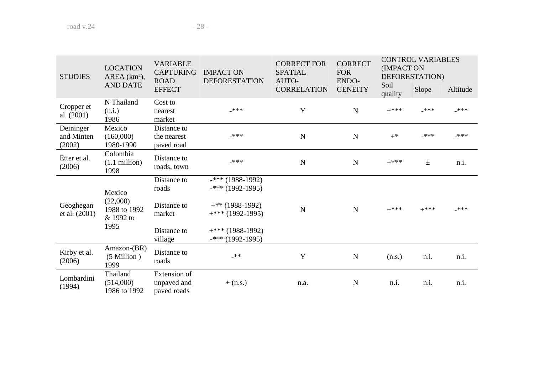| <b>STUDIES</b>                    | <b>LOCATION</b><br>AREA (km <sup>2</sup> ),             | <b>VARIABLE</b><br><b>CAPTURING</b><br><b>ROAD</b>           | <b>IMPACT ON</b><br><b>DEFORESTATION</b>                                                                   | <b>CORRECT FOR</b><br><b>SPATIAL</b><br>AUTO- | <b>CORRECT</b><br><b>FOR</b><br>ENDO- | <b>CONTROL VARIABLES</b><br>(IMPACT ON<br>DEFORESTATION) |        |          |
|-----------------------------------|---------------------------------------------------------|--------------------------------------------------------------|------------------------------------------------------------------------------------------------------------|-----------------------------------------------|---------------------------------------|----------------------------------------------------------|--------|----------|
|                                   | <b>AND DATE</b>                                         | <b>EFFECT</b>                                                |                                                                                                            | <b>CORRELATION</b>                            | <b>GENEITY</b>                        | Soil<br>quality                                          | Slope  | Altitude |
| Cropper et<br>al. $(2001)$        | N Thailand<br>(n.i.)<br>1986                            | Cost to<br>nearest<br>market                                 | ***                                                                                                        | Y                                             | $\mathbf N$                           | $+***$                                                   | ***    | _***     |
| Deininger<br>and Minten<br>(2002) | Mexico<br>(160,000)<br>1980-1990                        | Distance to<br>the nearest<br>paved road                     | ***                                                                                                        | N                                             | $\mathbf N$                           | $+^*$                                                    | $***$  | -***     |
| Etter et al.<br>(2006)            | Colombia<br>$(1.1 \text{ million})$<br>1998             | Distance to<br>roads, town                                   | _***                                                                                                       | $\mathbf N$                                   | $\mathbf N$                           | $+***$                                                   | $\pm$  | n.i.     |
| Geoghegan<br>et al. (2001)        | Mexico<br>(22,000)<br>1988 to 1992<br>& 1992 to<br>1995 | Distance to<br>roads<br>Distance to<br>market<br>Distance to | $-***$ (1988-1992)<br>$-***$ (1992-1995)<br>$+$ ** (1988-1992)<br>$+***$ (1992-1995)<br>$+***$ (1988-1992) | N                                             | $\mathbf N$                           | $+***$                                                   | $+***$ | $***$    |
| Kirby et al.<br>(2006)            | Amazon-(BR)<br>$(5$ Million)<br>1999                    | village<br>Distance to<br>roads                              | $-***$ (1992-1995)<br>$***$                                                                                | Y                                             | N                                     | (n.s.)                                                   | n.i.   | n.i.     |
| Lombardini<br>(1994)              | Thailand<br>(514,000)<br>1986 to 1992                   | Extension of<br>unpaved and<br>paved roads                   | $+$ (n.s.)                                                                                                 | n.a.                                          | N                                     | n.i.                                                     | n.i.   | n.i.     |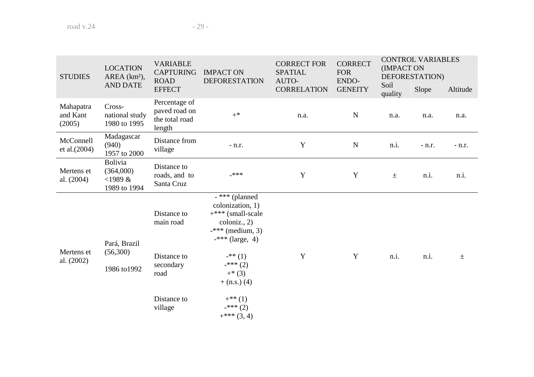| <b>STUDIES</b>                  | <b>LOCATION</b><br>AREA (km <sup>2</sup> ),        | <b>VARIABLE</b><br><b>CAPTURING</b><br><b>ROAD</b>         | <b>IMPACT ON</b><br><b>DEFORESTATION</b>                                                                                        | <b>CORRECT FOR</b><br><b>CORRECT</b><br>(IMPACT ON<br><b>SPATIAL</b><br><b>FOR</b><br>DEFORESTATION)<br>AUTO-<br>ENDO-<br>Soil<br>Slope<br><b>CORRELATION</b><br><b>GENEITY</b><br>quality<br>N<br>n.a.<br>n.a.<br>n.a.<br>Y<br>$\mathbf N$<br>n.i.<br>$-$ n.r.<br>Y<br>Y<br>n.i.<br>$\pm$ |          | <b>CONTROL VARIABLES</b> |      |          |
|---------------------------------|----------------------------------------------------|------------------------------------------------------------|---------------------------------------------------------------------------------------------------------------------------------|--------------------------------------------------------------------------------------------------------------------------------------------------------------------------------------------------------------------------------------------------------------------------------------------|----------|--------------------------|------|----------|
|                                 | <b>AND DATE</b>                                    | <b>EFFECT</b>                                              |                                                                                                                                 |                                                                                                                                                                                                                                                                                            | Altitude |                          |      |          |
| Mahapatra<br>and Kant<br>(2005) | Cross-<br>national study<br>1980 to 1995           | Percentage of<br>paved road on<br>the total road<br>length | $+^*$                                                                                                                           |                                                                                                                                                                                                                                                                                            |          |                          |      | n.a.     |
| McConnell<br>et al.(2004)       | Madagascar<br>(940)<br>1957 to 2000                | Distance from<br>village                                   | $- n.r.$                                                                                                                        |                                                                                                                                                                                                                                                                                            |          |                          |      | $-$ n.r. |
| Mertens et<br>al. (2004)        | Bolivia<br>(364,000)<br>$<$ 1989 &<br>1989 to 1994 | Distance to<br>roads, and to<br>Santa Cruz                 | -***                                                                                                                            |                                                                                                                                                                                                                                                                                            |          |                          |      | n.i.     |
| Mertens et<br>al. (2002)        | Pará, Brazil<br>(56,300)<br>1986 to 1992           | Distance to<br>main road                                   | $-$ *** (planned<br>colonization, 1)<br>$+***$ (small-scale<br>$\text{coloniz.}, 2)$<br>$-***$ (medium, 3)<br>$-***$ (large, 4) |                                                                                                                                                                                                                                                                                            |          |                          |      |          |
|                                 |                                                    | Distance to<br>secondary<br>road                           | $-$ ** (1)<br>$-***(2)$<br>$+*(3)$<br>$+$ (n.s.) (4)                                                                            | Y                                                                                                                                                                                                                                                                                          | Y        | n.i.                     | n.i. | $\pm$    |
|                                 |                                                    | Distance to<br>village                                     | $+^{**}(1)$<br>$-***(2)$<br>$+***(3,4)$                                                                                         |                                                                                                                                                                                                                                                                                            |          |                          |      |          |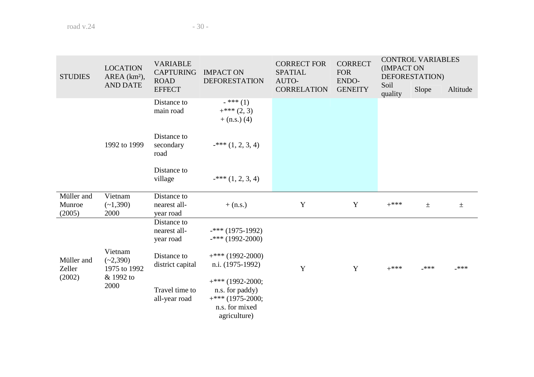| <b>LOCATION</b><br><b>STUDIES</b><br>AREA (km <sup>2</sup> ),<br><b>AND DATE</b> |                                                            | <b>VARIABLE</b><br><b>CAPTURING</b><br><b>ROAD</b> | <b>IMPACT ON</b><br><b>DEFORESTATION</b>                                                      | <b>CORRECT FOR</b><br><b>SPATIAL</b><br>AUTO- | <b>CORRECT</b><br><b>FOR</b><br>ENDO- | <b>CONTROL VARIABLES</b><br>(IMPACT ON<br>DEFORESTATION) |       |          |
|----------------------------------------------------------------------------------|------------------------------------------------------------|----------------------------------------------------|-----------------------------------------------------------------------------------------------|-----------------------------------------------|---------------------------------------|----------------------------------------------------------|-------|----------|
|                                                                                  |                                                            | <b>EFFECT</b>                                      |                                                                                               | <b>CORRELATION</b>                            | <b>GENEITY</b>                        | Soil<br>quality                                          | Slope | Altitude |
|                                                                                  |                                                            | Distance to<br>main road                           | $-$ *** (1)<br>$+***(2,3)$<br>$+$ (n.s.) (4)                                                  |                                               |                                       |                                                          |       |          |
|                                                                                  | 1992 to 1999                                               | Distance to<br>secondary<br>road                   | $-*$ (1, 2, 3, 4)                                                                             |                                               |                                       |                                                          |       |          |
|                                                                                  |                                                            | Distance to<br>village                             | $-***$ $(1, 2, 3, 4)$                                                                         |                                               |                                       |                                                          |       |          |
| Müller and<br>Munroe<br>(2005)                                                   | Vietnam<br>$(-1,390)$<br>2000                              | Distance to<br>nearest all-<br>year road           | $+$ (n.s.)                                                                                    | Y                                             | Y                                     | $+***$                                                   | $\pm$ | $\pm$    |
|                                                                                  |                                                            | Distance to<br>nearest all-<br>year road           | $-***$ (1975-1992)<br>$-***$ (1992-2000)                                                      |                                               |                                       |                                                          |       |          |
| Müller and<br>Zeller                                                             | Vietnam<br>$(-2,390)$<br>1975 to 1992<br>& 1992 to<br>2000 | Distance to<br>district capital                    | $+***$ (1992-2000)<br>n.i. (1975-1992)                                                        | Y                                             | Y                                     | $+***$                                                   | ***   | _***     |
| (2002)                                                                           |                                                            | Travel time to<br>all-year road                    | $+***$ (1992-2000;<br>n.s. for paddy)<br>$+***$ (1975-2000;<br>n.s. for mixed<br>agriculture) |                                               |                                       |                                                          |       |          |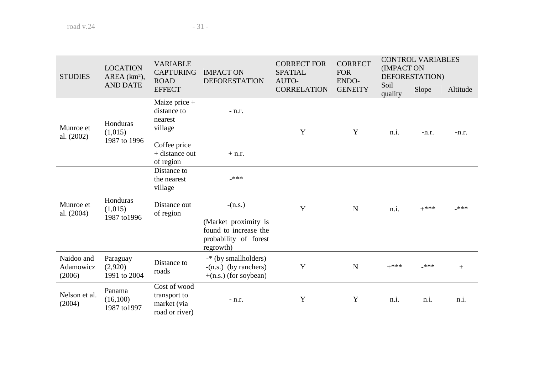| <b>STUDIES</b>                    | <b>LOCATION</b><br>$AREA (km2)$ ,         | <b>VARIABLE</b><br><b>CAPTURING</b><br><b>ROAD</b>            | <b>IMPACT ON</b><br><b>DEFORESTATION</b>                                            | <b>CORRECT FOR</b><br><b>SPATIAL</b><br>AUTO- | <b>CORRECT</b><br><b>FOR</b><br>ENDO- | (IMPACT ON<br>Soil | <b>CONTROL VARIABLES</b><br>DEFORESTATION) |          |
|-----------------------------------|-------------------------------------------|---------------------------------------------------------------|-------------------------------------------------------------------------------------|-----------------------------------------------|---------------------------------------|--------------------|--------------------------------------------|----------|
|                                   | <b>AND DATE</b>                           | <b>EFFECT</b>                                                 |                                                                                     | <b>CORRELATION</b>                            | <b>GENEITY</b>                        | quality            | Slope                                      | Altitude |
| Munroe et<br>al. (2002)           | nearest<br>Honduras<br>village<br>(1,015) | Maize price +<br>distance to                                  | $- n.r.$                                                                            | Y                                             | Y                                     | n.i.               | $-n.r.$                                    | $-n.r.$  |
|                                   | 1987 to 1996                              | Coffee price<br>$+$ distance out<br>of region                 | $+$ n.r.                                                                            |                                               |                                       |                    |                                            |          |
|                                   |                                           | Distance to<br>the nearest<br>village                         | $***$                                                                               |                                               |                                       |                    |                                            |          |
| Munroe et<br>al. (2004)           | Honduras<br>(1,015)<br>1987 to 1996       | Distance out<br>of region                                     | $-(n.s.)$                                                                           | Y                                             | $\mathbf N$                           | n.i.               | $+***$                                     | ***      |
|                                   |                                           |                                                               | (Market proximity is<br>found to increase the<br>probability of forest<br>regrowth) |                                               |                                       |                    |                                            |          |
| Naidoo and<br>Adamowicz<br>(2006) | Paraguay<br>(2,920)<br>1991 to 2004       | Distance to<br>roads                                          | -* (by smallholders)<br>$-(n.s.)$ (by ranchers)<br>$+(n.s.)$ (for soybean)          | Y                                             | ${\bf N}$                             | $+***$             | ***                                        | $\pm$    |
| Nelson et al.<br>(2004)           | Panama<br>(16,100)<br>1987 to 1997        | Cost of wood<br>transport to<br>market (via<br>road or river) | $- n.r.$                                                                            | Y                                             | Y                                     | n.i.               | n.i.                                       | n.i.     |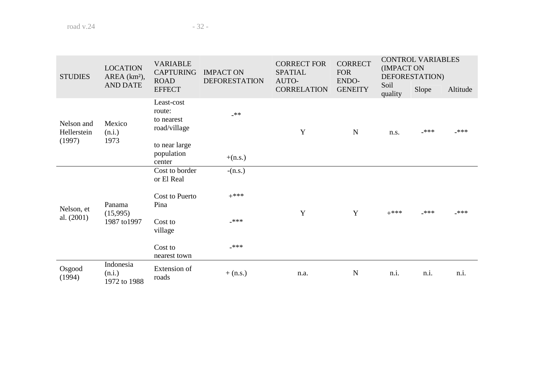| <b>STUDIES</b>                      | <b>LOCATION</b><br>AREA (km <sup>2</sup> ), | <b>VARIABLE</b><br><b>CAPTURING</b><br><b>ROAD</b> | <b>IMPACT ON</b><br><b>DEFORESTATION</b> | <b>CORRECT FOR</b><br><b>SPATIAL</b><br>AUTO- | <b>CORRECT</b><br><b>FOR</b><br>ENDO- | <b>CONTROL VARIABLES</b><br>(IMPACT ON<br>DEFORESTATION)<br>Soil |       |          |  |
|-------------------------------------|---------------------------------------------|----------------------------------------------------|------------------------------------------|-----------------------------------------------|---------------------------------------|------------------------------------------------------------------|-------|----------|--|
|                                     | <b>AND DATE</b>                             | <b>EFFECT</b>                                      |                                          | <b>CORRELATION</b>                            | <b>GENEITY</b>                        | quality                                                          | Slope | Altitude |  |
| Nelson and<br>Hellerstein<br>(1997) | Mexico<br>(n.i.)<br>1973                    | Least-cost<br>route:<br>to nearest<br>road/village | $**$                                     | Y                                             | N                                     | n.s.                                                             | _***  | $***$    |  |
|                                     |                                             | to near large<br>population<br>center              | $+(n.s.)$                                |                                               |                                       |                                                                  |       |          |  |
|                                     | Panama<br>(15,995)<br>1987 to 1997          | Cost to border<br>or El Real                       | $-(n.s.)$                                |                                               |                                       |                                                                  |       |          |  |
| Nelson, et                          |                                             | Cost to Puerto<br>Pina                             | $+***$                                   | Y                                             | Y                                     | $+***$                                                           | ***   | -***     |  |
| al. (2001)                          |                                             | Cost to<br>village                                 | $***$                                    |                                               |                                       |                                                                  |       |          |  |
|                                     |                                             | Cost to<br>nearest town                            | ***                                      |                                               |                                       |                                                                  |       |          |  |
| Osgood<br>(1994)                    | Indonesia<br>(n.i.)<br>1972 to 1988         | Extension of<br>roads                              | $+$ (n.s.)                               | n.a.                                          | $\mathbf N$                           | n.i.                                                             | n.i.  | n.i.     |  |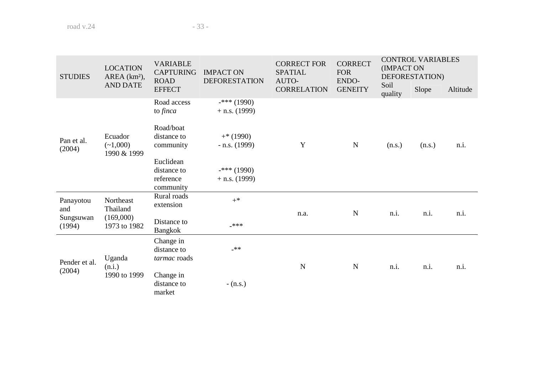| <b>STUDIES</b>                                                                                                                                                                                                                                       | <b>LOCATION</b><br>AREA (km <sup>2</sup> ), | <b>VARIABLE</b><br><b>CAPTURING</b><br><b>ROAD</b> | <b>IMPACT ON</b><br><b>DEFORESTATION</b> | <b>CORRECT FOR</b><br><b>SPATIAL</b><br>AUTO- | <b>CORRECT</b><br><b>FOR</b><br>ENDO- | (IMPACT ON      | <b>CONTROL VARIABLES</b><br>DEFORESTATION) |          |
|------------------------------------------------------------------------------------------------------------------------------------------------------------------------------------------------------------------------------------------------------|---------------------------------------------|----------------------------------------------------|------------------------------------------|-----------------------------------------------|---------------------------------------|-----------------|--------------------------------------------|----------|
|                                                                                                                                                                                                                                                      | <b>AND DATE</b>                             | <b>EFFECT</b>                                      |                                          | <b>CORRELATION</b>                            | <b>GENEITY</b>                        | Soil<br>quality | Slope                                      | Altitude |
|                                                                                                                                                                                                                                                      |                                             | Road access<br>to finca                            | $-***$ (1990)<br>$+$ n.s. (1999)         |                                               |                                       |                 |                                            |          |
| Road/boat<br>Ecuador<br>$+*(1990)$<br>distance to<br>Pan et al.<br>Y<br>$\mathbf N$<br>$(-1,000)$<br>community<br>$-$ n.s. (1999)<br>(2004)<br>1990 & 1999<br>Euclidean<br>$-***$ (1990)<br>distance to<br>reference<br>$+$ n.s. (1999)<br>community |                                             | (n.s.)                                             | (n.s.)                                   | n.i.                                          |                                       |                 |                                            |          |
|                                                                                                                                                                                                                                                      |                                             |                                                    |                                          |                                               |                                       |                 |                                            |          |
| Panayotou<br>and                                                                                                                                                                                                                                     | Northeast<br>Thailand                       | Rural roads<br>extension                           | $+^*$                                    | n.a.                                          | $\mathbf N$                           | n.i.            | n.i.                                       | n.i.     |
| Sungsuwan<br>(1994)                                                                                                                                                                                                                                  | (169,000)<br>1973 to 1982                   | Distance to<br>Bangkok                             | ***                                      |                                               |                                       |                 |                                            |          |
| Pender et al.                                                                                                                                                                                                                                        | Uganda<br>(n.i.)                            | Change in<br>distance to<br><i>tarmac</i> roads    | $**$                                     | $\mathbf N$                                   | $\mathbf N$                           | n.i.            | n.i.                                       | n.i.     |
| (2004)                                                                                                                                                                                                                                               | 1990 to 1999                                | Change in<br>distance to<br>market                 | $- (n.s.)$                               |                                               |                                       |                 |                                            |          |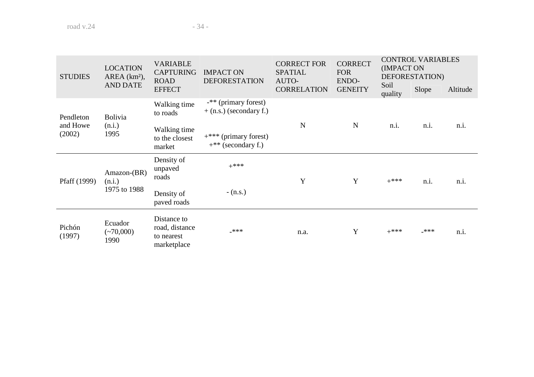| <b>STUDIES</b>     | <b>LOCATION</b><br>$AREA (km2)$ , | <b>VARIABLE</b><br><b>CAPTURING</b><br><b>ROAD</b>         | <b>IMPACT ON</b><br><b>DEFORESTATION</b>          | <b>CORRECT FOR</b><br><b>SPATIAL</b>                                                                       | <b>CORRECT</b><br><b>FOR</b> | <b>CONTROL VARIABLES</b><br>(IMPACT ON<br>DEFORESTATION) |       |          |
|--------------------|-----------------------------------|------------------------------------------------------------|---------------------------------------------------|------------------------------------------------------------------------------------------------------------|------------------------------|----------------------------------------------------------|-------|----------|
|                    | <b>AND DATE</b>                   | <b>EFFECT</b>                                              |                                                   | <b>CORRELATION</b>                                                                                         | <b>GENEITY</b>               | quality                                                  | Slope | Altitude |
| Pendleton          | <b>Bolivia</b>                    | Walking time<br>to roads                                   | -** (primary forest)<br>$+$ (n.s.) (secondary f.) | AUTO-<br>ENDO-<br>Soil<br>$\mathbf N$<br>$\mathbf N$<br>n.i.<br>n.i.<br>$+***$<br>Y<br>Y<br>$+***$<br>n.i. |                              |                                                          |       |          |
| and Howe<br>(2002) | (n.i.)<br>1995                    | Walking time<br>to the closest<br>market                   | $+***$ (primary forest)<br>$+$ ** (secondary f.)  |                                                                                                            |                              |                                                          |       | n.i.     |
| Pfaff (1999)       | Amazon-(BR)<br>(n.i.)             | Density of<br>unpaved<br>roads                             |                                                   |                                                                                                            |                              |                                                          |       | n.i.     |
|                    | 1975 to 1988                      | Density of<br>paved roads                                  | $- (n.s.)$                                        |                                                                                                            |                              |                                                          |       |          |
| Pichón<br>(1997)   | Ecuador<br>$(*70,000)$<br>1990    | Distance to<br>road, distance<br>to nearest<br>marketplace | $***$                                             | n.a.                                                                                                       | Y                            | $+***$                                                   | ***   | n.i.     |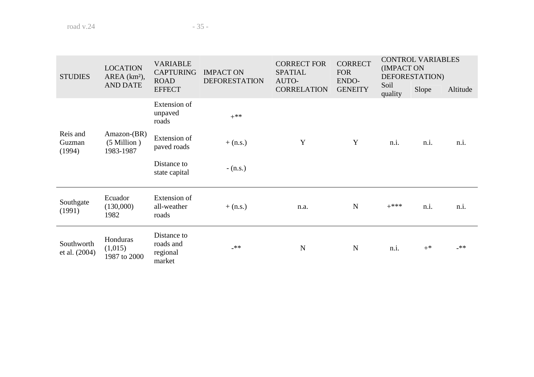| <b>LOCATION</b><br><b>STUDIES</b><br>AREA (km <sup>2</sup> ), |                                                | <b>VARIABLE</b><br><b>CAPTURING</b><br><b>ROAD</b> | <b>IMPACT ON</b><br><b>DEFORESTATION</b> | <b>CORRECT FOR</b><br><b>SPATIAL</b><br>AUTO- | <b>CORRECT</b><br><b>FOR</b><br>ENDO- | <b>CONTROL VARIABLES</b><br>(IMPACT ON<br>DEFORESTATION) |       |          |
|---------------------------------------------------------------|------------------------------------------------|----------------------------------------------------|------------------------------------------|-----------------------------------------------|---------------------------------------|----------------------------------------------------------|-------|----------|
|                                                               | <b>AND DATE</b>                                | <b>EFFECT</b>                                      |                                          | <b>CORRELATION</b>                            | <b>GENEITY</b>                        | Soil<br>quality                                          | Slope | Altitude |
|                                                               |                                                | Extension of<br>unpaved<br>roads                   | $+***$                                   |                                               |                                       |                                                          |       |          |
| Reis and<br>Guzman<br>(1994)                                  | $Amazon-(BR)$<br>$(5$ Million $)$<br>1983-1987 | Extension of<br>paved roads                        | $+$ (n.s.)                               | Y                                             | Y                                     | n.i.                                                     | n.i.  | n.i.     |
|                                                               |                                                | Distance to<br>state capital                       | $- (n.s.)$                               |                                               |                                       |                                                          |       |          |
| Southgate<br>(1991)                                           | Ecuador<br>(130,000)<br>1982                   | Extension of<br>all-weather<br>roads               | $+$ (n.s.)                               | n.a.                                          | N                                     | $+***$                                                   | n.i.  | n.i.     |
| Southworth<br>et al. (2004)                                   | Honduras<br>(1,015)<br>1987 to 2000            | Distance to<br>roads and<br>regional<br>market     | $**$                                     | N                                             | N                                     | n.i.                                                     | $+^*$ | $***$    |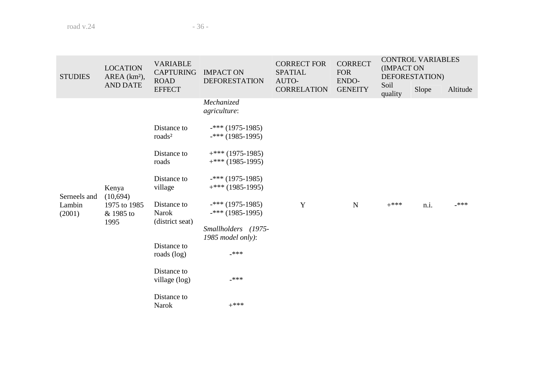| <b>STUDIES</b> | <b>LOCATION</b><br>AREA (km <sup>2</sup> ), | <b>VARIABLE</b><br><b>CAPTURING</b><br><b>ROAD</b> | <b>IMPACT ON</b><br><b>DEFORESTATION</b> | <b>CORRECT FOR</b><br><b>SPATIAL</b><br>AUTO- | <b>CORRECT</b><br><b>FOR</b><br>ENDO- | <b>CONTROL VARIABLES</b><br>(IMPACT ON<br>DEFORESTATION) |       |          |
|----------------|---------------------------------------------|----------------------------------------------------|------------------------------------------|-----------------------------------------------|---------------------------------------|----------------------------------------------------------|-------|----------|
|                | <b>AND DATE</b>                             | <b>EFFECT</b>                                      |                                          | <b>CORRELATION</b>                            | <b>GENEITY</b>                        | Soil<br>quality                                          | Slope | Altitude |
|                |                                             |                                                    | Mechanized<br>agriculture:               |                                               |                                       |                                                          |       |          |
|                |                                             | Distance to<br>roads <sup>2</sup>                  | $-***$ (1975-1985)<br>$-***$ (1985-1995) |                                               |                                       |                                                          |       |          |
|                |                                             | Distance to                                        | $+***$ (1975-1985)                       |                                               |                                       |                                                          |       |          |
|                | Kenya<br>(10,694)<br>1975 to 1985           | roads                                              | $+***$ (1985-1995)                       |                                               |                                       |                                                          |       |          |
|                |                                             | Distance to                                        | $-***$ (1975-1985)                       |                                               |                                       |                                                          |       |          |
| Serneels and   |                                             | village                                            | $+***$ (1985-1995)                       |                                               |                                       |                                                          |       |          |
| Lambin         |                                             | Distance to                                        | $-***$ (1975-1985)                       | Y                                             | N                                     | $+***$                                                   | n.i.  | ***      |
| (2001)         | & 1985 to<br>1995                           | <b>Narok</b><br>(district seat)                    | $-***$ (1985-1995)                       |                                               |                                       |                                                          |       |          |
|                |                                             |                                                    | Smallholders (1975-<br>1985 model only): |                                               |                                       |                                                          |       |          |
|                |                                             | Distance to                                        |                                          |                                               |                                       |                                                          |       |          |
|                |                                             | roads (log)                                        | $***$                                    |                                               |                                       |                                                          |       |          |
|                |                                             | Distance to<br>village (log)                       | _***                                     |                                               |                                       |                                                          |       |          |
|                |                                             | Distance to<br><b>Narok</b>                        | $+***$                                   |                                               |                                       |                                                          |       |          |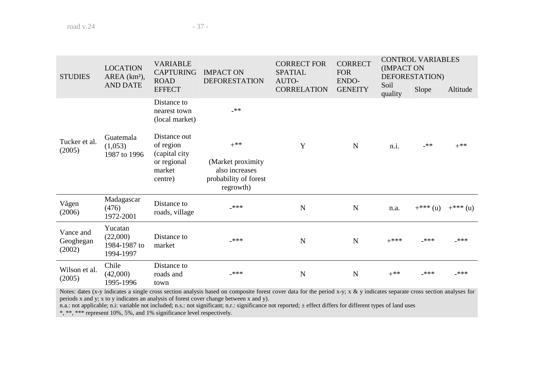| <b>STUDIES</b>                   | <b>LOCATION</b><br>AREA (km <sup>2</sup> ),      | <b>VARIABLE</b><br><b>CAPTURING</b><br><b>ROAD</b> | <b>IMPACT ON</b><br><b>DEFORESTATION</b>                                   | <b>CORRECT FOR</b><br><b>SPATIAL</b><br>AUTO- | <b>CORRECT</b><br><b>FOR</b><br><b>ENDO-</b> | <b>CONTROL VARIABLES</b><br>(IMPACT ON<br>DEFORESTATION) |                                           |           |
|----------------------------------|--------------------------------------------------|----------------------------------------------------|----------------------------------------------------------------------------|-----------------------------------------------|----------------------------------------------|----------------------------------------------------------|-------------------------------------------|-----------|
|                                  | <b>AND DATE</b>                                  | <b>EFFECT</b>                                      |                                                                            | <b>CORRELATION</b>                            | <b>GENEITY</b>                               | Soil<br>quality                                          | Slope<br>$***$<br>$+***(u)$<br>***<br>*** | Altitude  |
|                                  |                                                  | Distance to<br>nearest town<br>(local market)      | $***$                                                                      |                                               |                                              |                                                          |                                           |           |
| Tucker et al.<br>(2005)          | Guatemala<br>(1,053)<br>1987 to 1996             | Distance out<br>of region<br>(capital city)        | $+$ **                                                                     | Y                                             | N                                            | n.i.                                                     |                                           | $+***$    |
|                                  |                                                  | or regional<br>market<br>centre)                   | (Market proximity)<br>also increases<br>probability of forest<br>regrowth) |                                               |                                              |                                                          |                                           |           |
| Vågen<br>(2006)                  | Madagascar<br>(476)<br>1972-2001                 | Distance to<br>roads, village                      | ***                                                                        | N                                             | $\mathbf N$                                  | n.a.                                                     |                                           | $+***(u)$ |
| Vance and<br>Geoghegan<br>(2002) | Yucatan<br>(22,000)<br>1984-1987 to<br>1994-1997 | Distance to<br>market                              | ***                                                                        | N                                             | $\mathbf N$                                  | $+***$                                                   |                                           | ***       |
| Wilson et al.<br>(2005)          | Chile<br>(42,000)<br>1995-1996                   | Distance to<br>roads and<br>town                   | ***                                                                        | N                                             | $\mathbf N$                                  | $+**$                                                    |                                           | $***$     |

Notes: dates (x-y indicates a single cross section analysis based on composite forest cover data for the period x-y; x & y indicates separate cross section analyses for periods x and y; x to y indicates an analysis of forest cover change between x and y).

n.a.: not applicable; n.i: variable not included; n.s.: not significant; n.r.: significance not reported;  $\pm$  effect differs for different types of land uses \*, \*\*, \*\*\* represent 10%, 5%, and 1% significance level respect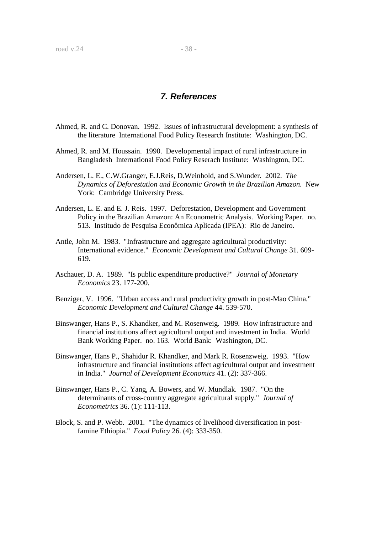# **7. References**

- Ahmed, R. and C. Donovan. 1992. Issues of infrastructural development: a synthesis of the literature International Food Policy Research Institute: Washington, DC.
- Ahmed, R. and M. Houssain. 1990. Developmental impact of rural infrastructure in Bangladesh International Food Policy Reserach Institute: Washington, DC.
- Andersen, L. E., C.W.Granger, E.J.Reis, D.Weinhold, and S.Wunder. 2002. *The Dynamics of Deforestation and Economic Growth in the Brazilian Amazon.* New York: Cambridge University Press.
- Andersen, L. E. and E. J. Reis. 1997. Deforestation, Development and Government Policy in the Brazilian Amazon: An Econometric Analysis. Working Paper. no. 513. Institudo de Pesquisa Econômica Aplicada (IPEA): Rio de Janeiro.
- Antle, John M. 1983. "Infrastructure and aggregate agricultural productivity: International evidence." *Economic Development and Cultural Change* 31. 609- 619.
- Aschauer, D. A. 1989. "Is public expenditure productive?" *Journal of Monetary Economics* 23. 177-200.
- Benziger, V. 1996. "Urban access and rural productivity growth in post-Mao China." *Economic Development and Cultural Change* 44. 539-570.
- Binswanger, Hans P., S. Khandker, and M. Rosenweig. 1989. How infrastructure and financial institutions affect agricultural output and investment in India. World Bank Working Paper. no. 163. World Bank: Washington, DC.
- Binswanger, Hans P., Shahidur R. Khandker, and Mark R. Rosenzweig. 1993. "How infrastructure and financial institutions affect agricultural output and investment in India." *Journal of Development Economics* 41. (2): 337-366.
- Binswanger, Hans P., C. Yang, A. Bowers, and W. Mundlak. 1987. "On the determinants of cross-country aggregate agricultural supply." *Journal of Econometrics* 36. (1): 111-113.
- Block, S. and P. Webb. 2001. "The dynamics of livelihood diversification in postfamine Ethiopia." *Food Policy* 26. (4): 333-350.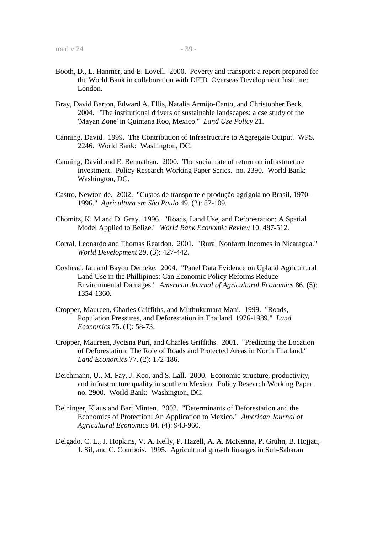- Booth, D., L. Hanmer, and E. Lovell. 2000. Poverty and transport: a report prepared for the World Bank in collaboration with DFID Overseas Development Institute: London.
- Bray, David Barton, Edward A. Ellis, Natalia Armijo-Canto, and Christopher Beck. 2004. "The institutional drivers of sustainable landscapes: a cse study of the 'Mayan Zone' in Quintana Roo, Mexico." *Land Use Policy* 21.
- Canning, David. 1999. The Contribution of Infrastructure to Aggregate Output. WPS. 2246. World Bank: Washington, DC.
- Canning, David and E. Bennathan. 2000. The social rate of return on infrastructure investment. Policy Research Working Paper Series. no. 2390. World Bank: Washington, DC.
- Castro, Newton de. 2002. "Custos de transporte e produção agrígola no Brasil, 1970- 1996." *Agricultura em São Paulo* 49. (2): 87-109.
- Chomitz, K. M and D. Gray. 1996. "Roads, Land Use, and Deforestation: A Spatial Model Applied to Belize." *World Bank Economic Review* 10. 487-512.
- Corral, Leonardo and Thomas Reardon. 2001. "Rural Nonfarm Incomes in Nicaragua." *World Development* 29. (3): 427-442.
- Coxhead, Ian and Bayou Demeke. 2004. "Panel Data Evidence on Upland Agricultural Land Use in the Phillipines: Can Economic Policy Reforms Reduce Environmental Damages." *American Journal of Agricultural Economics* 86. (5): 1354-1360.
- Cropper, Maureen, Charles Griffiths, and Muthukumara Mani. 1999. "Roads, Population Pressures, and Deforestation in Thailand, 1976-1989." *Land Economics* 75. (1): 58-73.
- Cropper, Maureen, Jyotsna Puri, and Charles Griffiths. 2001. "Predicting the Location of Deforestation: The Role of Roads and Protected Areas in North Thailand." *Land Economics* 77. (2): 172-186.
- Deichmann, U., M. Fay, J. Koo, and S. Lall. 2000. Economic structure, productivity, and infrastructure quality in southern Mexico. Policy Research Working Paper. no. 2900. World Bank: Washington, DC.
- Deininger, Klaus and Bart Minten. 2002. "Determinants of Deforestation and the Economics of Protection: An Application to Mexico." *American Journal of Agricultural Economics* 84. (4): 943-960.
- Delgado, C. L., J. Hopkins, V. A. Kelly, P. Hazell, A. A. McKenna, P. Gruhn, B. Hojjati, J. Sil, and C. Courbois. 1995. Agricultural growth linkages in Sub-Saharan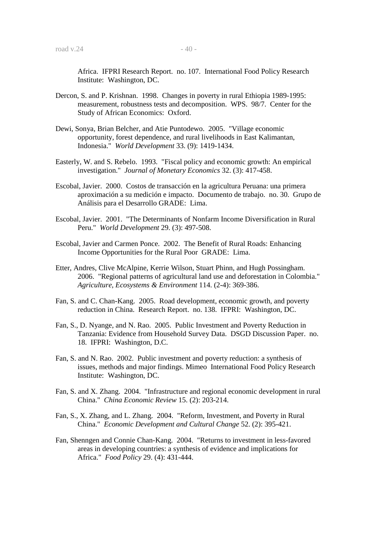Africa. IFPRI Research Report. no. 107. International Food Policy Research Institute: Washington, DC.

- Dercon, S. and P. Krishnan. 1998. Changes in poverty in rural Ethiopia 1989-1995: measurement, robustness tests and decomposition. WPS. 98/7. Center for the Study of African Economics: Oxford.
- Dewi, Sonya, Brian Belcher, and Atie Puntodewo. 2005. "Village economic opportunity, forest dependence, and rural livelihoods in East Kalimantan, Indonesia." *World Development* 33. (9): 1419-1434.
- Easterly, W. and S. Rebelo. 1993. "Fiscal policy and economic growth: An empirical investigation." *Journal of Monetary Economics* 32. (3): 417-458.
- Escobal, Javier. 2000. Costos de transacción en la agricultura Peruana: una primera aproximación a su medición e impacto. Documento de trabajo. no. 30. Grupo de Análisis para el Desarrollo GRADE: Lima.
- Escobal, Javier. 2001. "The Determinants of Nonfarm Income Diversification in Rural Peru." *World Development* 29. (3): 497-508.
- Escobal, Javier and Carmen Ponce. 2002. The Benefit of Rural Roads: Enhancing Income Opportunities for the Rural Poor GRADE: Lima.
- Etter, Andres, Clive McAlpine, Kerrie Wilson, Stuart Phinn, and Hugh Possingham. 2006. "Regional patterns of agricultural land use and deforestation in Colombia." *Agriculture, Ecosystems & Environment* 114. (2-4): 369-386.
- Fan, S. and C. Chan-Kang. 2005. Road development, economic growth, and poverty reduction in China. Research Report. no. 138. IFPRI: Washington, DC.
- Fan, S., D. Nyange, and N. Rao. 2005. Public Investment and Poverty Reduction in Tanzania: Evidence from Household Survey Data. DSGD Discussion Paper. no. 18. IFPRI: Washington, D.C.
- Fan, S. and N. Rao. 2002. Public investment and poverty reduction: a synthesis of issues, methods and major findings. Mimeo International Food Policy Research Institute: Washington, DC.
- Fan, S. and X. Zhang. 2004. "Infrastructure and regional economic development in rural China." *China Economic Review* 15. (2): 203-214.
- Fan, S., X. Zhang, and L. Zhang. 2004. "Reform, Investment, and Poverty in Rural China." *Economic Development and Cultural Change* 52. (2): 395-421.
- Fan, Shenngen and Connie Chan-Kang. 2004. "Returns to investment in less-favored areas in developing countries: a synthesis of evidence and implications for Africa." *Food Policy* 29. (4): 431-444.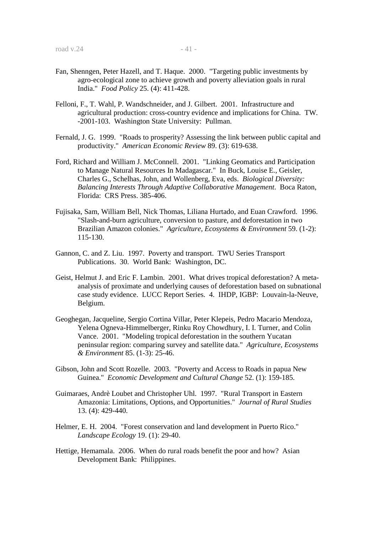- Fan, Shenngen, Peter Hazell, and T. Haque. 2000. "Targeting public investments by agro-ecological zone to achieve growth and poverty alleviation goals in rural India." *Food Policy* 25. (4): 411-428.
- Felloni, F., T. Wahl, P. Wandschneider, and J. Gilbert. 2001. Infrastructure and agricultural production: cross-country evidence and implications for China. TW. -2001-103. Washington State University: Pullman.
- Fernald, J. G. 1999. "Roads to prosperity? Assessing the link between public capital and productivity." *American Economic Review* 89. (3): 619-638.
- Ford, Richard and William J. McConnell. 2001. "Linking Geomatics and Participation to Manage Natural Resources In Madagascar." In Buck, Louise E., Geisler, Charles G., Schelhas, John, and Wollenberg, Eva, eds. *Biological Diversity: Balancing Interests Through Adaptive Collaborative Management*. Boca Raton, Florida: CRS Press. 385-406.
- Fujisaka, Sam, William Bell, Nick Thomas, Liliana Hurtado, and Euan Crawford. 1996. "Slash-and-burn agriculture, conversion to pasture, and deforestation in two Brazilian Amazon colonies." *Agriculture, Ecosystems & Environment* 59. (1-2): 115-130.
- Gannon, C. and Z. Liu. 1997. Poverty and transport. TWU Series Transport Publications. 30. World Bank: Washington, DC.
- Geist, Helmut J. and Eric F. Lambin. 2001. What drives tropical deforestation? A metaanalysis of proximate and underlying causes of deforestation based on subnational case study evidence. LUCC Report Series. 4. IHDP, IGBP: Louvain-la-Neuve, Belgium.
- Geoghegan, Jacqueline, Sergio Cortina Villar, Peter Klepeis, Pedro Macario Mendoza, Yelena Ogneva-Himmelberger, Rinku Roy Chowdhury, I. I. Turner, and Colin Vance. 2001. "Modeling tropical deforestation in the southern Yucatan peninsular region: comparing survey and satellite data." *Agriculture, Ecosystems & Environment* 85. (1-3): 25-46.
- Gibson, John and Scott Rozelle. 2003. "Poverty and Access to Roads in papua New Guinea." *Economic Development and Cultural Change* 52. (1): 159-185.
- Guimaraes, Andrè Loubet and Christopher Uhl. 1997. "Rural Transport in Eastern Amazonia: Limitations, Options, and Opportunities." *Journal of Rural Studies*  13. (4): 429-440.
- Helmer, E. H. 2004. "Forest conservation and land development in Puerto Rico." *Landscape Ecology* 19. (1): 29-40.
- Hettige, Hemamala. 2006. When do rural roads benefit the poor and how? Asian Development Bank: Philippines.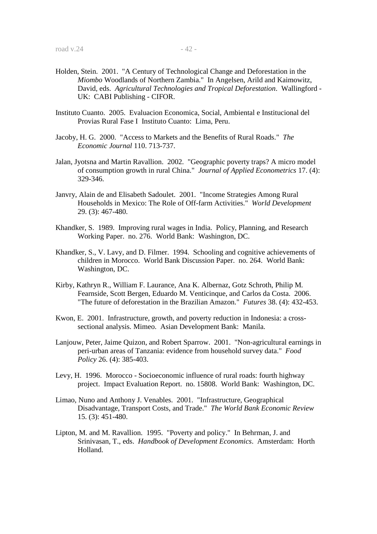- Holden, Stein. 2001. "A Century of Technological Change and Deforestation in the *Miombo* Woodlands of Northern Zambia." In Angelsen, Arild and Kaimowitz, David, eds. *Agricultural Technologies and Tropical Deforestation*. Wallingford - UK: CABI Publishing - CIFOR.
- Instituto Cuanto. 2005. Evaluacion Economica, Social, Ambiental e Institucional del Provias Rural Fase I Instituto Cuanto: Lima, Peru.
- Jacoby, H. G. 2000. "Access to Markets and the Benefits of Rural Roads." *The Economic Journal* 110. 713-737.
- Jalan, Jyotsna and Martin Ravallion. 2002. "Geographic poverty traps? A micro model of consumption growth in rural China." *Journal of Applied Econometrics* 17. (4): 329-346.
- Janvry, Alain de and Elisabeth Sadoulet. 2001. "Income Strategies Among Rural Households in Mexico: The Role of Off-farm Activities." *World Development*  29. (3): 467-480.
- Khandker, S. 1989. Improving rural wages in India. Policy, Planning, and Research Working Paper. no. 276. World Bank: Washington, DC.
- Khandker, S., V. Lavy, and D. Filmer. 1994. Schooling and cognitive achievements of children in Morocco. World Bank Discussion Paper. no. 264. World Bank: Washington, DC.
- Kirby, Kathryn R., William F. Laurance, Ana K. Albernaz, Gotz Schroth, Philip M. Fearnside, Scott Bergen, Eduardo M. Venticinque, and Carlos da Costa. 2006. "The future of deforestation in the Brazilian Amazon." *Futures* 38. (4): 432-453.
- Kwon, E. 2001. Infrastructure, growth, and poverty reduction in Indonesia: a crosssectional analysis. Mimeo. Asian Development Bank: Manila.
- Lanjouw, Peter, Jaime Quizon, and Robert Sparrow. 2001. "Non-agricultural earnings in peri-urban areas of Tanzania: evidence from household survey data." *Food Policy* 26. (4): 385-403.
- Levy, H. 1996. Morocco Socioeconomic influence of rural roads: fourth highway project. Impact Evaluation Report. no. 15808. World Bank: Washington, DC.
- Limao, Nuno and Anthony J. Venables. 2001. "Infrastructure, Geographical Disadvantage, Transport Costs, and Trade." *The World Bank Economic Review*  15. (3): 451-480.
- Lipton, M. and M. Ravallion. 1995. "Poverty and policy." In Behrman, J. and Srinivasan, T., eds. *Handbook of Development Economics*. Amsterdam: Horth Holland.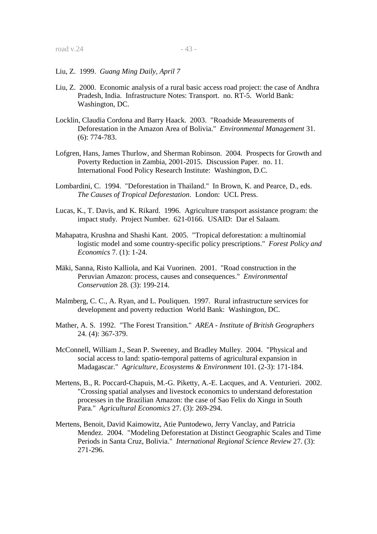- Liu, Z. 1999. *Guang Ming Daily, April 7*
- Liu, Z. 2000. Economic analysis of a rural basic access road project: the case of Andhra Pradesh, India. Infrastructure Notes: Transport. no. RT-5. World Bank: Washington, DC.
- Locklin, Claudia Cordona and Barry Haack. 2003. "Roadside Measurements of Deforestation in the Amazon Area of Bolivia." *Environmental Management* 31. (6): 774-783.
- Lofgren, Hans, James Thurlow, and Sherman Robinson. 2004. Prospects for Growth and Poverty Reduction in Zambia, 2001-2015. Discussion Paper. no. 11. International Food Policy Research Institute: Washington, D.C.
- Lombardini, C. 1994. "Deforestation in Thailand." In Brown, K. and Pearce, D., eds. *The Causes of Tropical Deforestation*. London: UCL Press.
- Lucas, K., T. Davis, and K. Rikard. 1996. Agriculture transport assistance program: the impact study. Project Number. 621-0166. USAID: Dar el Salaam.
- Mahapatra, Krushna and Shashi Kant. 2005. "Tropical deforestation: a multinomial logistic model and some country-specific policy prescriptions." *Forest Policy and Economics* 7. (1): 1-24.
- Mäki, Sanna, Risto Kalliola, and Kai Vuorinen. 2001. "Road construction in the Peruvian Amazon: process, causes and consequences." *Environmental Conservation* 28. (3): 199-214.
- Malmberg, C. C., A. Ryan, and L. Pouliquen. 1997. Rural infrastructure services for development and poverty reduction World Bank: Washington, DC.
- Mather, A. S. 1992. "The Forest Transition." *AREA Institute of British Geographers*  24. (4): 367-379.
- McConnell, William J., Sean P. Sweeney, and Bradley Mulley. 2004. "Physical and social access to land: spatio-temporal patterns of agricultural expansion in Madagascar." *Agriculture, Ecosystems & Environment* 101. (2-3): 171-184.
- Mertens, B., R. Poccard-Chapuis, M.-G. Piketty, A.-E. Lacques, and A. Venturieri. 2002. "Crossing spatial analyses and livestock economics to understand deforestation processes in the Brazilian Amazon: the case of Sao Felix do Xingu in South Para." *Agricultural Economics* 27. (3): 269-294.
- Mertens, Benoit, David Kaimowitz, Atie Puntodewo, Jerry Vanclay, and Patricia Mendez. 2004. "Modeling Deforestation at Distinct Geographic Scales and Time Periods in Santa Cruz, Bolivia." *International Regional Science Review* 27. (3): 271-296.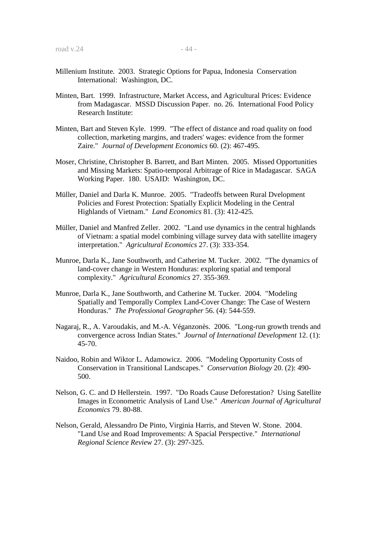- Minten, Bart. 1999. Infrastructure, Market Access, and Agricultural Prices: Evidence from Madagascar. MSSD Discussion Paper. no. 26. International Food Policy Research Institute:
- Minten, Bart and Steven Kyle. 1999. "The effect of distance and road quality on food collection, marketing margins, and traders' wages: evidence from the former Zaire." *Journal of Development Economics* 60. (2): 467-495.
- Moser, Christine, Christopher B. Barrett, and Bart Minten. 2005. Missed Opportunities and Missing Markets: Spatio-temporal Arbitrage of Rice in Madagascar. SAGA Working Paper. 180. USAID: Washington, DC.
- Müller, Daniel and Darla K. Munroe. 2005. "Tradeoffs between Rural Dvelopment Policies and Forest Protection: Spatially Explicit Modeling in the Central Highlands of Vietnam." *Land Economics* 81. (3): 412-425.
- Müller, Daniel and Manfred Zeller. 2002. "Land use dynamics in the central highlands of Vietnam: a spatial model combining village survey data with satellite imagery interpretation." *Agricultural Economics* 27. (3): 333-354.
- Munroe, Darla K., Jane Southworth, and Catherine M. Tucker. 2002. "The dynamics of land-cover change in Western Honduras: exploring spatial and temporal complexity." *Agricultural Economics* 27. 355-369.
- Munroe, Darla K., Jane Southworth, and Catherine M. Tucker. 2004. "Modeling Spatially and Temporally Complex Land-Cover Change: The Case of Western Honduras." *The Professional Geographer* 56. (4): 544-559.
- Nagaraj, R., A. Varoudakis, and M.-A. Véganzonès. 2006. "Long-run growth trends and convergence across Indian States." *Journal of International Development* 12. (1): 45-70.
- Naidoo, Robin and Wiktor L. Adamowicz. 2006. "Modeling Opportunity Costs of Conservation in Transitional Landscapes." *Conservation Biology* 20. (2): 490- 500.
- Nelson, G. C. and D Hellerstein. 1997. "Do Roads Cause Deforestation? Using Satellite Images in Econometric Analysis of Land Use." *American Journal of Agricultural Economics* 79. 80-88.
- Nelson, Gerald, Alessandro De Pinto, Virginia Harris, and Steven W. Stone. 2004. "Land Use and Road Improvements: A Spacial Perspective." *International Regional Science Review* 27. (3): 297-325.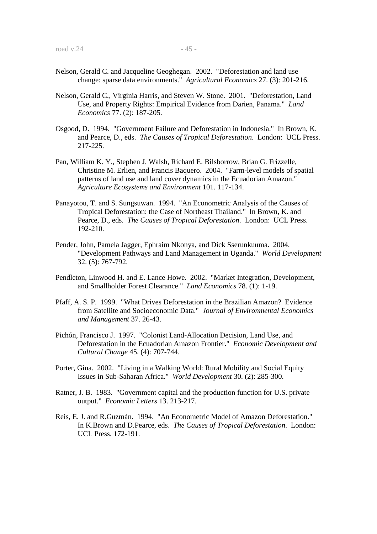- Nelson, Gerald C. and Jacqueline Geoghegan. 2002. "Deforestation and land use change: sparse data environments." *Agricultural Economics* 27. (3): 201-216.
- Nelson, Gerald C., Virginia Harris, and Steven W. Stone. 2001. "Deforestation, Land Use, and Property Rights: Empirical Evidence from Darien, Panama." *Land Economics* 77. (2): 187-205.
- Osgood, D. 1994. "Government Failure and Deforestation in Indonesia." In Brown, K. and Pearce, D., eds. *The Causes of Tropical Deforestation*. London: UCL Press. 217-225.
- Pan, William K. Y., Stephen J. Walsh, Richard E. Bilsborrow, Brian G. Frizzelle, Christine M. Erlien, and Francis Baquero. 2004. "Farm-level models of spatial patterns of land use and land cover dynamics in the Ecuadorian Amazon." *Agriculture Ecosystems and Environment* 101. 117-134.
- Panayotou, T. and S. Sungsuwan. 1994. "An Econometric Analysis of the Causes of Tropical Deforestation: the Case of Northeast Thailand." In Brown, K. and Pearce, D., eds. *The Causes of Tropical Deforestation*. London: UCL Press. 192-210.
- Pender, John, Pamela Jagger, Ephraim Nkonya, and Dick Sserunkuuma. 2004. "Development Pathways and Land Management in Uganda." *World Development*  32. (5): 767-792.
- Pendleton, Linwood H. and E. Lance Howe. 2002. "Market Integration, Development, and Smallholder Forest Clearance." *Land Economics* 78. (1): 1-19.
- Pfaff, A. S. P. 1999. "What Drives Deforestation in the Brazilian Amazon? Evidence from Satellite and Socioeconomic Data." *Journal of Environmental Economics and Management* 37. 26-43.
- Pichón, Francisco J. 1997. "Colonist Land-Allocation Decision, Land Use, and Deforestation in the Ecuadorian Amazon Frontier." *Economic Development and Cultural Change* 45. (4): 707-744.
- Porter, Gina. 2002. "Living in a Walking World: Rural Mobility and Social Equity Issues in Sub-Saharan Africa." *World Development* 30. (2): 285-300.
- Ratner, J. B. 1983. "Government capital and the production function for U.S. private output." *Economic Letters* 13. 213-217.
- Reis, E. J. and R.Guzmán. 1994. "An Econometric Model of Amazon Deforestation." In K.Brown and D.Pearce, eds. *The Causes of Tropical Deforestation*. London: UCL Press. 172-191.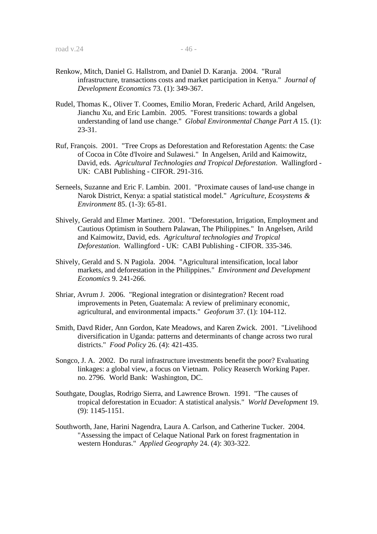- Renkow, Mitch, Daniel G. Hallstrom, and Daniel D. Karanja. 2004. "Rural infrastructure, transactions costs and market participation in Kenya." *Journal of Development Economics* 73. (1): 349-367.
- Rudel, Thomas K., Oliver T. Coomes, Emilio Moran, Frederic Achard, Arild Angelsen, Jianchu Xu, and Eric Lambin. 2005. "Forest transitions: towards a global understanding of land use change." *Global Environmental Change Part A* 15. (1): 23-31.
- Ruf, François. 2001. "Tree Crops as Deforestation and Reforestation Agents: the Case of Cocoa in Côte d'Ivoire and Sulawesi." In Angelsen, Arild and Kaimowitz, David, eds. *Agricultural Technologies and Tropical Deforestation*. Wallingford - UK: CABI Publishing - CIFOR. 291-316.
- Serneels, Suzanne and Eric F. Lambin. 2001. "Proximate causes of land-use change in Narok District, Kenya: a spatial statistical model." *Agriculture, Ecosystems & Environment* 85. (1-3): 65-81.
- Shively, Gerald and Elmer Martinez. 2001. "Deforestation, Irrigation, Employment and Cautious Optimism in Southern Palawan, The Philippines." In Angelsen, Arild and Kaimowitz, David, eds. *Agricultural technologies and Tropical Deforestation*. Wallingford - UK: CABI Publishing - CIFOR. 335-346.
- Shively, Gerald and S. N Pagiola. 2004. "Agricultural intensification, local labor markets, and deforestation in the Philippines." *Environment and Development Economics* 9. 241-266.
- Shriar, Avrum J. 2006. "Regional integration or disintegration? Recent road improvements in Peten, Guatemala: A review of preliminary economic, agricultural, and environmental impacts." *Geoforum* 37. (1): 104-112.
- Smith, Davd Rider, Ann Gordon, Kate Meadows, and Karen Zwick. 2001. "Livelihood diversification in Uganda: patterns and determinants of change across two rural districts." *Food Policy* 26. (4): 421-435.
- Songco, J. A. 2002. Do rural infrastructure investments benefit the poor? Evaluating linkages: a global view, a focus on Vietnam. Policy Reaserch Working Paper. no. 2796. World Bank: Washington, DC.
- Southgate, Douglas, Rodrigo Sierra, and Lawrence Brown. 1991. "The causes of tropical deforestation in Ecuador: A statistical analysis." *World Development* 19. (9): 1145-1151.
- Southworth, Jane, Harini Nagendra, Laura A. Carlson, and Catherine Tucker. 2004. "Assessing the impact of Celaque National Park on forest fragmentation in western Honduras." *Applied Geography* 24. (4): 303-322.